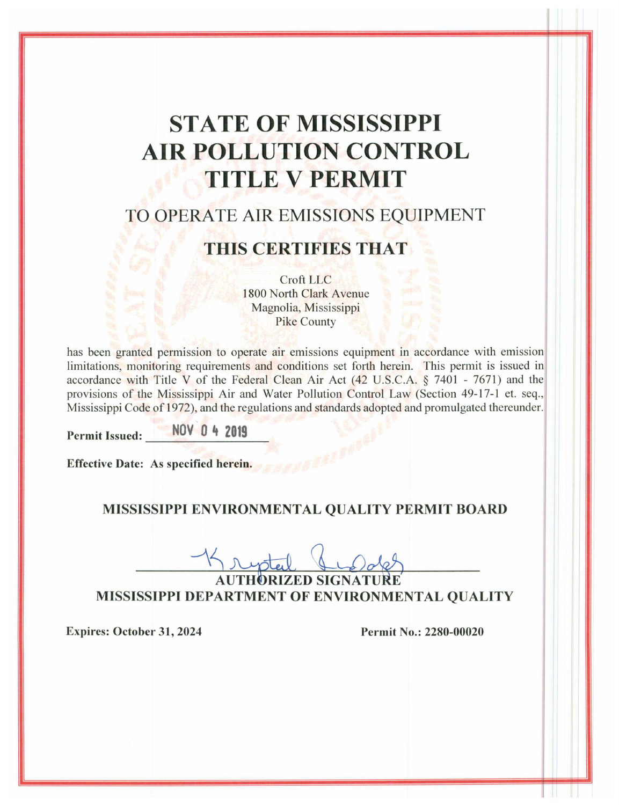# **STATE OF MISSISSIPPI AIR POLLUTION CONTROL TITLE V PERMIT**

# TO OPERATE AIR EMISSIONS EQUIPMENT

# **THIS CERTIFIES THAT**

Croft LLC 1800 North Clark Avenue Magnolia, Mississippi **Pike County** 

has been granted permission to operate air emissions equipment in accordance with emission limitations, monitoring requirements and conditions set forth herein. This permit is issued in accordance with Title V of the Federal Clean Air Act  $(42 \text{ U.S.C.A. } § 7401 - 7671)$  and the provisions of the Mississippi Air and Water Pollution Control Law (Section 49-17-1 et. seq., Mississippi Code of 1972), and the regulations and standards adopted and promulgated thereunder.

**Permit Issued:** 

NOV 0 4 2019

Effective Date: As specified herein.

### MISSISSIPPI ENVIRONMENTAL QUALITY PERMIT BOARD

MISSISSIPPI DEPARTMENT OF ENVIRONMENTAL QUALITY

**Expires: October 31, 2024** 

Permit No.: 2280-00020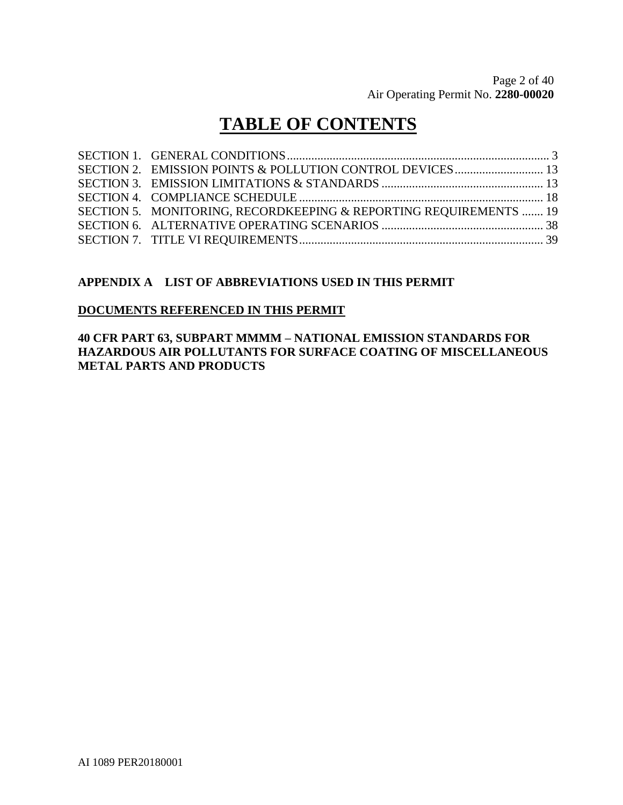# **TABLE OF CONTENTS**

| SECTION 5. MONITORING, RECORDKEEPING & REPORTING REQUIREMENTS  19 |  |
|-------------------------------------------------------------------|--|
|                                                                   |  |
|                                                                   |  |

### **APPENDIX A LIST OF ABBREVIATIONS USED IN THIS PERMIT**

#### **DOCUMENTS REFERENCED IN THIS PERMIT**

### **40 CFR PART 63, SUBPART MMMM – NATIONAL EMISSION STANDARDS FOR HAZARDOUS AIR POLLUTANTS FOR SURFACE COATING OF MISCELLANEOUS METAL PARTS AND PRODUCTS**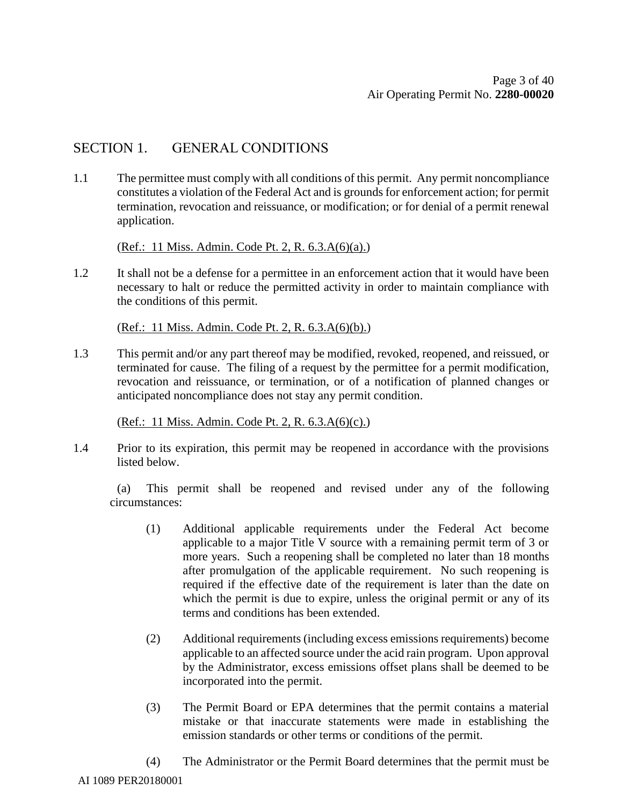### SECTION 1. GENERAL CONDITIONS

1.1 The permittee must comply with all conditions of this permit. Any permit noncompliance constitutes a violation of the Federal Act and is grounds for enforcement action; for permit termination, revocation and reissuance, or modification; or for denial of a permit renewal application.

(Ref.: 11 Miss. Admin. Code Pt. 2, R. 6.3.A(6)(a).)

1.2 It shall not be a defense for a permittee in an enforcement action that it would have been necessary to halt or reduce the permitted activity in order to maintain compliance with the conditions of this permit.

(Ref.: 11 Miss. Admin. Code Pt. 2, R. 6.3.A(6)(b).)

1.3 This permit and/or any part thereof may be modified, revoked, reopened, and reissued, or terminated for cause. The filing of a request by the permittee for a permit modification, revocation and reissuance, or termination, or of a notification of planned changes or anticipated noncompliance does not stay any permit condition.

(Ref.: 11 Miss. Admin. Code Pt. 2, R. 6.3.A(6)(c).)

1.4 Prior to its expiration, this permit may be reopened in accordance with the provisions listed below.

(a) This permit shall be reopened and revised under any of the following circumstances:

- (1) Additional applicable requirements under the Federal Act become applicable to a major Title V source with a remaining permit term of 3 or more years. Such a reopening shall be completed no later than 18 months after promulgation of the applicable requirement. No such reopening is required if the effective date of the requirement is later than the date on which the permit is due to expire, unless the original permit or any of its terms and conditions has been extended.
- (2) Additional requirements (including excess emissions requirements) become applicable to an affected source under the acid rain program. Upon approval by the Administrator, excess emissions offset plans shall be deemed to be incorporated into the permit.
- (3) The Permit Board or EPA determines that the permit contains a material mistake or that inaccurate statements were made in establishing the emission standards or other terms or conditions of the permit.
- (4) The Administrator or the Permit Board determines that the permit must be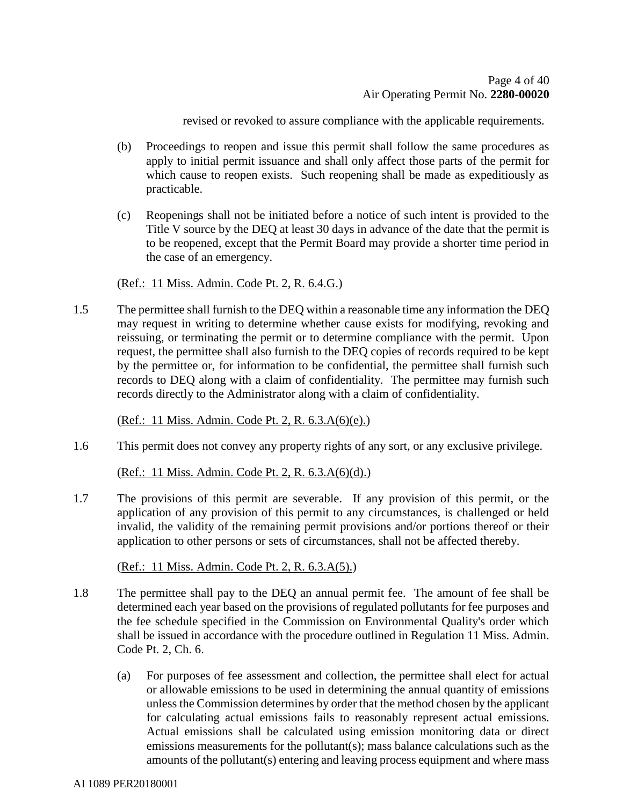revised or revoked to assure compliance with the applicable requirements.

- (b) Proceedings to reopen and issue this permit shall follow the same procedures as apply to initial permit issuance and shall only affect those parts of the permit for which cause to reopen exists. Such reopening shall be made as expeditiously as practicable.
- (c) Reopenings shall not be initiated before a notice of such intent is provided to the Title V source by the DEQ at least 30 days in advance of the date that the permit is to be reopened, except that the Permit Board may provide a shorter time period in the case of an emergency.

#### (Ref.: 11 Miss. Admin. Code Pt. 2, R. 6.4.G.)

1.5 The permittee shall furnish to the DEQ within a reasonable time any information the DEQ may request in writing to determine whether cause exists for modifying, revoking and reissuing, or terminating the permit or to determine compliance with the permit. Upon request, the permittee shall also furnish to the DEQ copies of records required to be kept by the permittee or, for information to be confidential, the permittee shall furnish such records to DEQ along with a claim of confidentiality. The permittee may furnish such records directly to the Administrator along with a claim of confidentiality.

(Ref.: 11 Miss. Admin. Code Pt. 2, R. 6.3.A(6)(e).)

1.6 This permit does not convey any property rights of any sort, or any exclusive privilege.

(Ref.: 11 Miss. Admin. Code Pt. 2, R. 6.3.A(6)(d).)

1.7 The provisions of this permit are severable. If any provision of this permit, or the application of any provision of this permit to any circumstances, is challenged or held invalid, the validity of the remaining permit provisions and/or portions thereof or their application to other persons or sets of circumstances, shall not be affected thereby.

(Ref.: 11 Miss. Admin. Code Pt. 2, R. 6.3.A(5).)

- 1.8 The permittee shall pay to the DEQ an annual permit fee. The amount of fee shall be determined each year based on the provisions of regulated pollutants for fee purposes and the fee schedule specified in the Commission on Environmental Quality's order which shall be issued in accordance with the procedure outlined in Regulation 11 Miss. Admin. Code Pt. 2, Ch. 6.
	- (a) For purposes of fee assessment and collection, the permittee shall elect for actual or allowable emissions to be used in determining the annual quantity of emissions unless the Commission determines by order that the method chosen by the applicant for calculating actual emissions fails to reasonably represent actual emissions. Actual emissions shall be calculated using emission monitoring data or direct emissions measurements for the pollutant(s); mass balance calculations such as the amounts of the pollutant(s) entering and leaving process equipment and where mass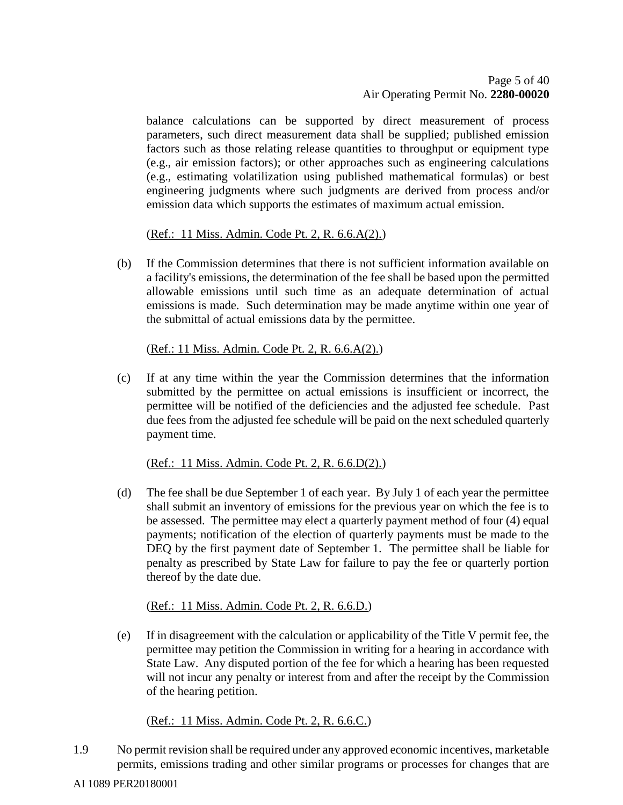balance calculations can be supported by direct measurement of process parameters, such direct measurement data shall be supplied; published emission factors such as those relating release quantities to throughput or equipment type (e.g., air emission factors); or other approaches such as engineering calculations (e.g., estimating volatilization using published mathematical formulas) or best engineering judgments where such judgments are derived from process and/or emission data which supports the estimates of maximum actual emission.

(Ref.: 11 Miss. Admin. Code Pt. 2, R. 6.6.A(2).)

(b) If the Commission determines that there is not sufficient information available on a facility's emissions, the determination of the fee shall be based upon the permitted allowable emissions until such time as an adequate determination of actual emissions is made. Such determination may be made anytime within one year of the submittal of actual emissions data by the permittee.

(Ref.: 11 Miss. Admin. Code Pt. 2, R. 6.6.A(2).)

(c) If at any time within the year the Commission determines that the information submitted by the permittee on actual emissions is insufficient or incorrect, the permittee will be notified of the deficiencies and the adjusted fee schedule. Past due fees from the adjusted fee schedule will be paid on the next scheduled quarterly payment time.

(Ref.: 11 Miss. Admin. Code Pt. 2, R. 6.6.D(2).)

(d) The fee shall be due September 1 of each year. By July 1 of each year the permittee shall submit an inventory of emissions for the previous year on which the fee is to be assessed. The permittee may elect a quarterly payment method of four (4) equal payments; notification of the election of quarterly payments must be made to the DEQ by the first payment date of September 1. The permittee shall be liable for penalty as prescribed by State Law for failure to pay the fee or quarterly portion thereof by the date due.

(Ref.: 11 Miss. Admin. Code Pt. 2, R. 6.6.D.)

(e) If in disagreement with the calculation or applicability of the Title V permit fee, the permittee may petition the Commission in writing for a hearing in accordance with State Law. Any disputed portion of the fee for which a hearing has been requested will not incur any penalty or interest from and after the receipt by the Commission of the hearing petition.

(Ref.: 11 Miss. Admin. Code Pt. 2, R. 6.6.C.)

1.9 No permit revision shall be required under any approved economic incentives, marketable permits, emissions trading and other similar programs or processes for changes that are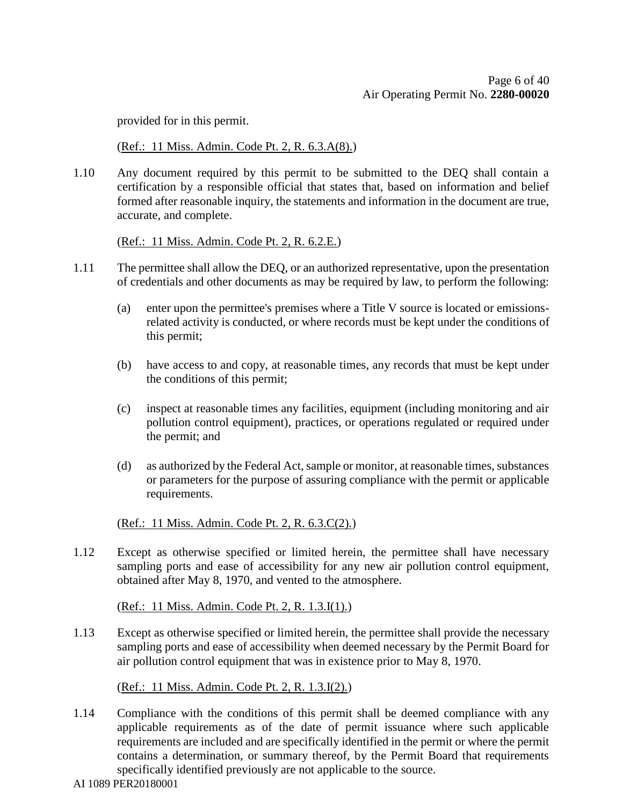provided for in this permit.

(Ref.: 11 Miss. Admin. Code Pt. 2, R. 6.3.A(8).)

1.10 Any document required by this permit to be submitted to the DEQ shall contain a certification by a responsible official that states that, based on information and belief formed after reasonable inquiry, the statements and information in the document are true, accurate, and complete.

(Ref.: 11 Miss. Admin. Code Pt. 2, R. 6.2.E.)

- 1.11 The permittee shall allow the DEQ, or an authorized representative, upon the presentation of credentials and other documents as may be required by law, to perform the following:
	- (a) enter upon the permittee's premises where a Title V source is located or emissionsrelated activity is conducted, or where records must be kept under the conditions of this permit;
	- (b) have access to and copy, at reasonable times, any records that must be kept under the conditions of this permit;
	- (c) inspect at reasonable times any facilities, equipment (including monitoring and air pollution control equipment), practices, or operations regulated or required under the permit; and
	- (d) as authorized by the Federal Act, sample or monitor, at reasonable times, substances or parameters for the purpose of assuring compliance with the permit or applicable requirements.

(Ref.: 11 Miss. Admin. Code Pt. 2, R. 6.3.C(2).)

1.12 Except as otherwise specified or limited herein, the permittee shall have necessary sampling ports and ease of accessibility for any new air pollution control equipment, obtained after May 8, 1970, and vented to the atmosphere.

(Ref.: 11 Miss. Admin. Code Pt. 2, R. 1.3.I(1).)

1.13 Except as otherwise specified or limited herein, the permittee shall provide the necessary sampling ports and ease of accessibility when deemed necessary by the Permit Board for air pollution control equipment that was in existence prior to May 8, 1970.

(Ref.: 11 Miss. Admin. Code Pt. 2, R. 1.3.I(2).)

- 1.14 Compliance with the conditions of this permit shall be deemed compliance with any applicable requirements as of the date of permit issuance where such applicable requirements are included and are specifically identified in the permit or where the permit contains a determination, or summary thereof, by the Permit Board that requirements specifically identified previously are not applicable to the source.
- AI 1089 PER20180001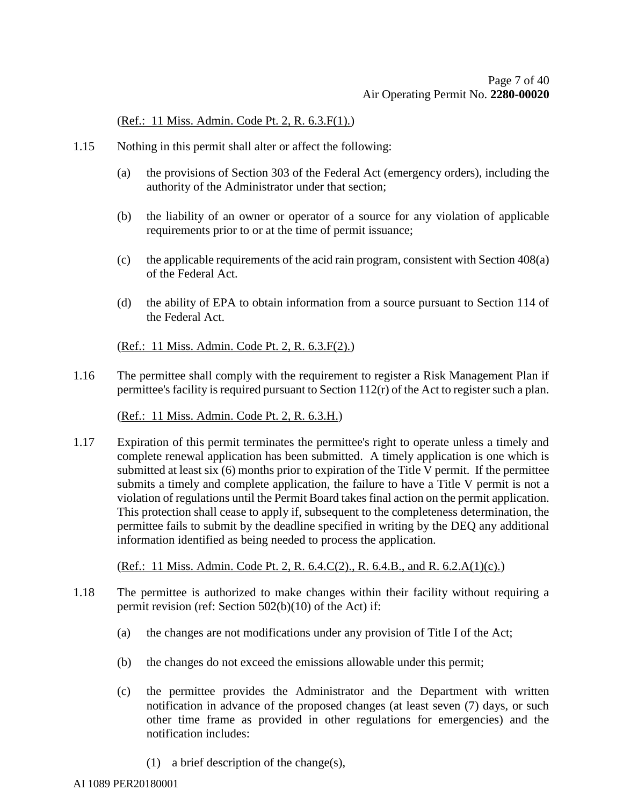(Ref.: 11 Miss. Admin. Code Pt. 2, R. 6.3.F(1).)

- 1.15 Nothing in this permit shall alter or affect the following:
	- (a) the provisions of Section 303 of the Federal Act (emergency orders), including the authority of the Administrator under that section;
	- (b) the liability of an owner or operator of a source for any violation of applicable requirements prior to or at the time of permit issuance;
	- (c) the applicable requirements of the acid rain program, consistent with Section 408(a) of the Federal Act.
	- (d) the ability of EPA to obtain information from a source pursuant to Section 114 of the Federal Act.

(Ref.: 11 Miss. Admin. Code Pt. 2, R. 6.3.F(2).)

1.16 The permittee shall comply with the requirement to register a Risk Management Plan if permittee's facility is required pursuant to Section 112(r) of the Act to register such a plan.

(Ref.: 11 Miss. Admin. Code Pt. 2, R. 6.3.H.)

1.17 Expiration of this permit terminates the permittee's right to operate unless a timely and complete renewal application has been submitted. A timely application is one which is submitted at least six (6) months prior to expiration of the Title V permit. If the permittee submits a timely and complete application, the failure to have a Title V permit is not a violation of regulations until the Permit Board takes final action on the permit application. This protection shall cease to apply if, subsequent to the completeness determination, the permittee fails to submit by the deadline specified in writing by the DEQ any additional information identified as being needed to process the application.

(Ref.: 11 Miss. Admin. Code Pt. 2, R. 6.4.C(2)., R. 6.4.B., and R. 6.2.A(1)(c).)

- 1.18 The permittee is authorized to make changes within their facility without requiring a permit revision (ref: Section 502(b)(10) of the Act) if:
	- (a) the changes are not modifications under any provision of Title I of the Act;
	- (b) the changes do not exceed the emissions allowable under this permit;
	- (c) the permittee provides the Administrator and the Department with written notification in advance of the proposed changes (at least seven (7) days, or such other time frame as provided in other regulations for emergencies) and the notification includes:
		- (1) a brief description of the change(s),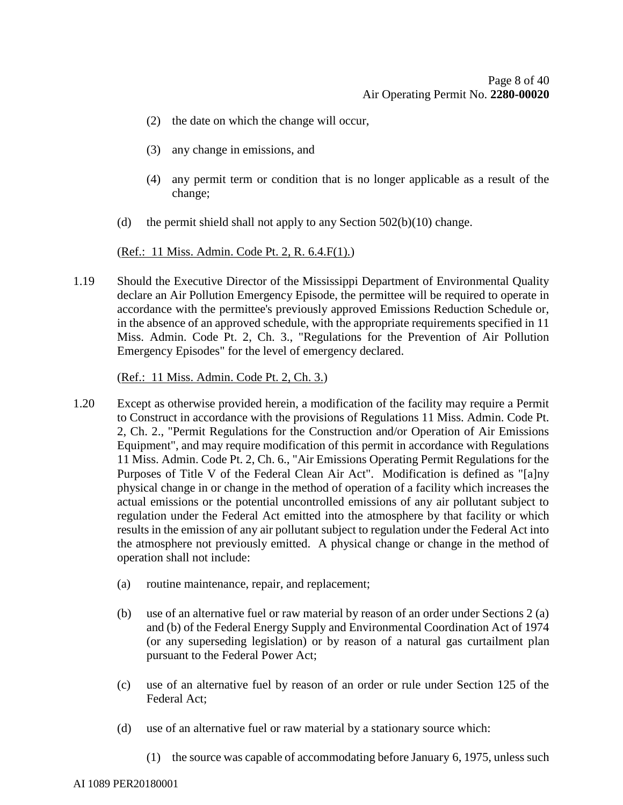- (2) the date on which the change will occur,
- (3) any change in emissions, and
- (4) any permit term or condition that is no longer applicable as a result of the change;
- (d) the permit shield shall not apply to any Section  $502(b)(10)$  change.

(Ref.: 11 Miss. Admin. Code Pt. 2, R. 6.4.F(1).)

1.19 Should the Executive Director of the Mississippi Department of Environmental Quality declare an Air Pollution Emergency Episode, the permittee will be required to operate in accordance with the permittee's previously approved Emissions Reduction Schedule or, in the absence of an approved schedule, with the appropriate requirements specified in 11 Miss. Admin. Code Pt. 2, Ch. 3., "Regulations for the Prevention of Air Pollution Emergency Episodes" for the level of emergency declared.

(Ref.: 11 Miss. Admin. Code Pt. 2, Ch. 3.)

- 1.20 Except as otherwise provided herein, a modification of the facility may require a Permit to Construct in accordance with the provisions of Regulations 11 Miss. Admin. Code Pt. 2, Ch. 2., "Permit Regulations for the Construction and/or Operation of Air Emissions Equipment", and may require modification of this permit in accordance with Regulations 11 Miss. Admin. Code Pt. 2, Ch. 6., "Air Emissions Operating Permit Regulations for the Purposes of Title V of the Federal Clean Air Act". Modification is defined as "[a]ny physical change in or change in the method of operation of a facility which increases the actual emissions or the potential uncontrolled emissions of any air pollutant subject to regulation under the Federal Act emitted into the atmosphere by that facility or which results in the emission of any air pollutant subject to regulation under the Federal Act into the atmosphere not previously emitted. A physical change or change in the method of operation shall not include:
	- (a) routine maintenance, repair, and replacement;
	- (b) use of an alternative fuel or raw material by reason of an order under Sections 2 (a) and (b) of the Federal Energy Supply and Environmental Coordination Act of 1974 (or any superseding legislation) or by reason of a natural gas curtailment plan pursuant to the Federal Power Act;
	- (c) use of an alternative fuel by reason of an order or rule under Section 125 of the Federal Act;
	- (d) use of an alternative fuel or raw material by a stationary source which:
		- (1) the source was capable of accommodating before January 6, 1975, unless such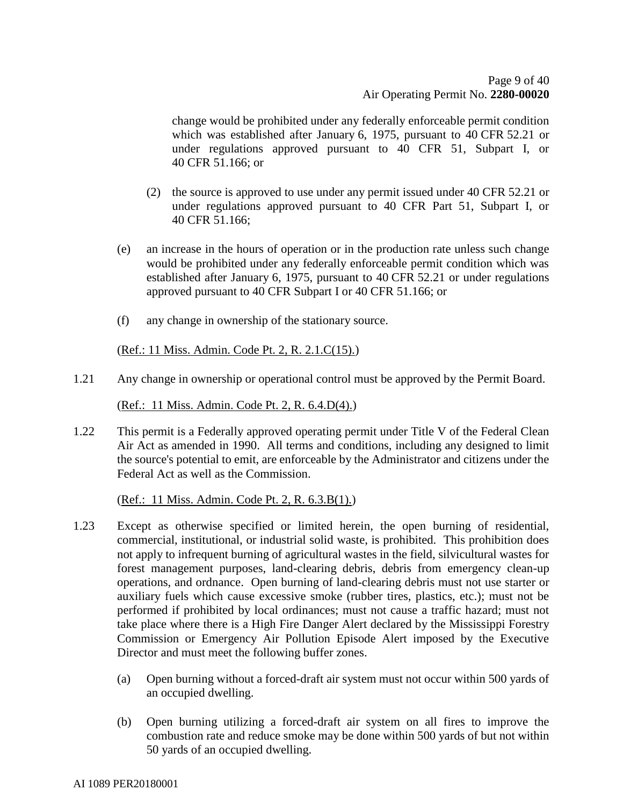change would be prohibited under any federally enforceable permit condition which was established after January 6, 1975, pursuant to 40 CFR 52.21 or under regulations approved pursuant to 40 CFR 51, Subpart I, or 40 CFR 51.166; or

- (2) the source is approved to use under any permit issued under 40 CFR 52.21 or under regulations approved pursuant to 40 CFR Part 51, Subpart I, or 40 CFR 51.166;
- (e) an increase in the hours of operation or in the production rate unless such change would be prohibited under any federally enforceable permit condition which was established after January 6, 1975, pursuant to 40 CFR 52.21 or under regulations approved pursuant to 40 CFR Subpart I or 40 CFR 51.166; or
- (f) any change in ownership of the stationary source.

(Ref.: 11 Miss. Admin. Code Pt. 2, R. 2.1.C(15).)

1.21 Any change in ownership or operational control must be approved by the Permit Board.

(Ref.: 11 Miss. Admin. Code Pt. 2, R. 6.4.D(4).)

1.22 This permit is a Federally approved operating permit under Title V of the Federal Clean Air Act as amended in 1990. All terms and conditions, including any designed to limit the source's potential to emit, are enforceable by the Administrator and citizens under the Federal Act as well as the Commission.

(Ref.: 11 Miss. Admin. Code Pt. 2, R. 6.3.B(1).)

- 1.23 Except as otherwise specified or limited herein, the open burning of residential, commercial, institutional, or industrial solid waste, is prohibited. This prohibition does not apply to infrequent burning of agricultural wastes in the field, silvicultural wastes for forest management purposes, land-clearing debris, debris from emergency clean-up operations, and ordnance. Open burning of land-clearing debris must not use starter or auxiliary fuels which cause excessive smoke (rubber tires, plastics, etc.); must not be performed if prohibited by local ordinances; must not cause a traffic hazard; must not take place where there is a High Fire Danger Alert declared by the Mississippi Forestry Commission or Emergency Air Pollution Episode Alert imposed by the Executive Director and must meet the following buffer zones.
	- (a) Open burning without a forced-draft air system must not occur within 500 yards of an occupied dwelling.
	- (b) Open burning utilizing a forced-draft air system on all fires to improve the combustion rate and reduce smoke may be done within 500 yards of but not within 50 yards of an occupied dwelling.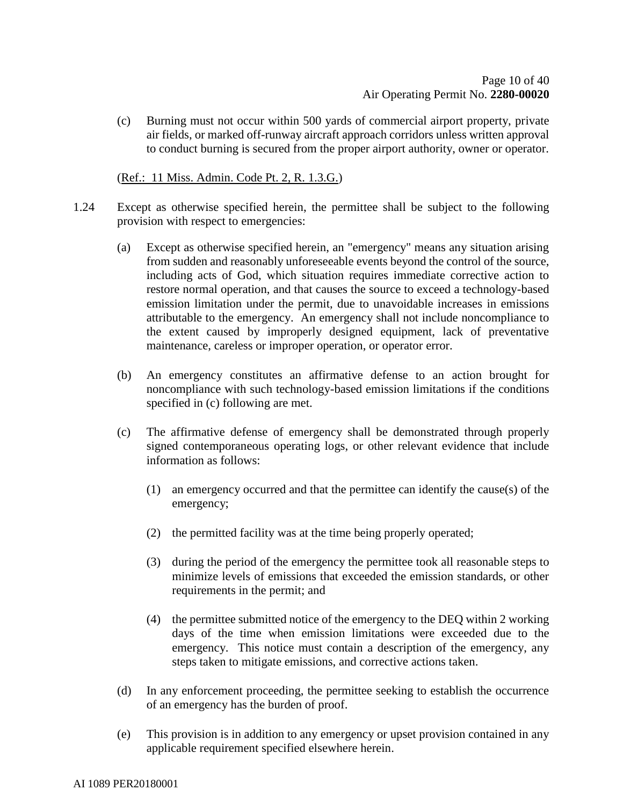(c) Burning must not occur within 500 yards of commercial airport property, private air fields, or marked off-runway aircraft approach corridors unless written approval to conduct burning is secured from the proper airport authority, owner or operator.

(Ref.: 11 Miss. Admin. Code Pt. 2, R. 1.3.G.)

- 1.24 Except as otherwise specified herein, the permittee shall be subject to the following provision with respect to emergencies:
	- (a) Except as otherwise specified herein, an "emergency" means any situation arising from sudden and reasonably unforeseeable events beyond the control of the source, including acts of God, which situation requires immediate corrective action to restore normal operation, and that causes the source to exceed a technology-based emission limitation under the permit, due to unavoidable increases in emissions attributable to the emergency. An emergency shall not include noncompliance to the extent caused by improperly designed equipment, lack of preventative maintenance, careless or improper operation, or operator error.
	- (b) An emergency constitutes an affirmative defense to an action brought for noncompliance with such technology-based emission limitations if the conditions specified in (c) following are met.
	- (c) The affirmative defense of emergency shall be demonstrated through properly signed contemporaneous operating logs, or other relevant evidence that include information as follows:
		- (1) an emergency occurred and that the permittee can identify the cause(s) of the emergency;
		- (2) the permitted facility was at the time being properly operated;
		- (3) during the period of the emergency the permittee took all reasonable steps to minimize levels of emissions that exceeded the emission standards, or other requirements in the permit; and
		- (4) the permittee submitted notice of the emergency to the DEQ within 2 working days of the time when emission limitations were exceeded due to the emergency. This notice must contain a description of the emergency, any steps taken to mitigate emissions, and corrective actions taken.
	- (d) In any enforcement proceeding, the permittee seeking to establish the occurrence of an emergency has the burden of proof.
	- (e) This provision is in addition to any emergency or upset provision contained in any applicable requirement specified elsewhere herein.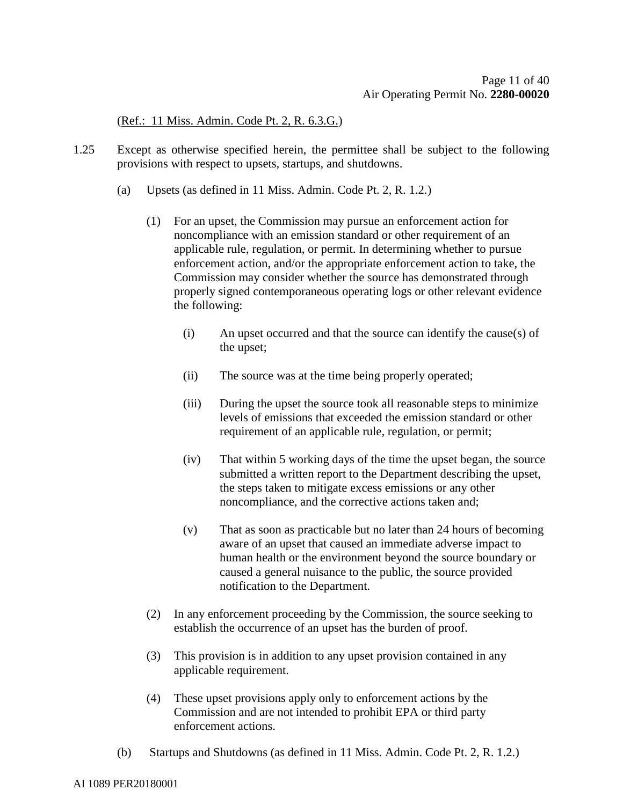(Ref.: 11 Miss. Admin. Code Pt. 2, R. 6.3.G.)

- 1.25 Except as otherwise specified herein, the permittee shall be subject to the following provisions with respect to upsets, startups, and shutdowns.
	- (a) Upsets (as defined in 11 Miss. Admin. Code Pt. 2, R. 1.2.)
		- (1) For an upset, the Commission may pursue an enforcement action for noncompliance with an emission standard or other requirement of an applicable rule, regulation, or permit. In determining whether to pursue enforcement action, and/or the appropriate enforcement action to take, the Commission may consider whether the source has demonstrated through properly signed contemporaneous operating logs or other relevant evidence the following:
			- (i) An upset occurred and that the source can identify the cause(s) of the upset;
			- (ii) The source was at the time being properly operated;
			- (iii) During the upset the source took all reasonable steps to minimize levels of emissions that exceeded the emission standard or other requirement of an applicable rule, regulation, or permit;
			- (iv) That within 5 working days of the time the upset began, the source submitted a written report to the Department describing the upset, the steps taken to mitigate excess emissions or any other noncompliance, and the corrective actions taken and;
			- (v) That as soon as practicable but no later than 24 hours of becoming aware of an upset that caused an immediate adverse impact to human health or the environment beyond the source boundary or caused a general nuisance to the public, the source provided notification to the Department.
		- (2) In any enforcement proceeding by the Commission, the source seeking to establish the occurrence of an upset has the burden of proof.
		- (3) This provision is in addition to any upset provision contained in any applicable requirement.
		- (4) These upset provisions apply only to enforcement actions by the Commission and are not intended to prohibit EPA or third party enforcement actions.
	- (b) Startups and Shutdowns (as defined in 11 Miss. Admin. Code Pt. 2, R. 1.2.)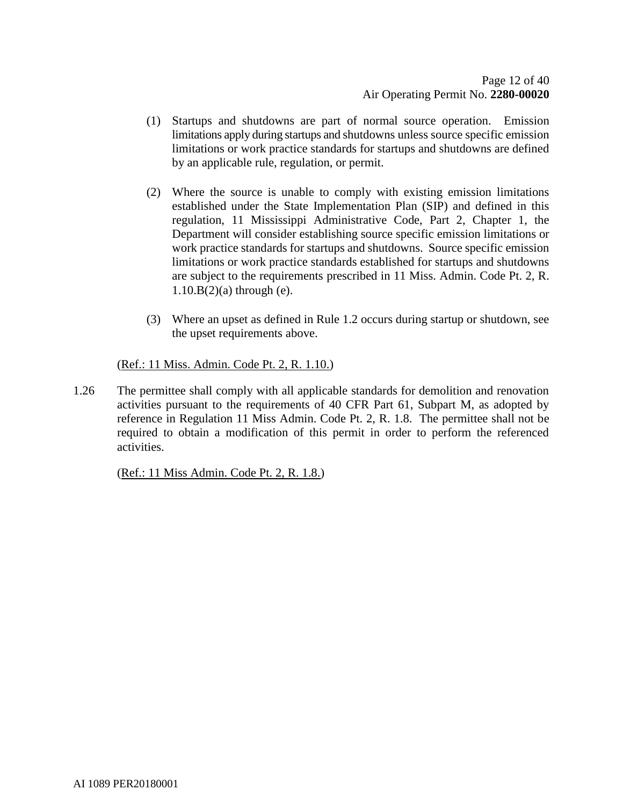- (1) Startups and shutdowns are part of normal source operation. Emission limitations apply during startups and shutdowns unless source specific emission limitations or work practice standards for startups and shutdowns are defined by an applicable rule, regulation, or permit.
- (2) Where the source is unable to comply with existing emission limitations established under the State Implementation Plan (SIP) and defined in this regulation, 11 Mississippi Administrative Code, Part 2, Chapter 1, the Department will consider establishing source specific emission limitations or work practice standards for startups and shutdowns. Source specific emission limitations or work practice standards established for startups and shutdowns are subject to the requirements prescribed in 11 Miss. Admin. Code Pt. 2, R. 1.10.B(2)(a) through (e).
- (3) Where an upset as defined in Rule 1.2 occurs during startup or shutdown, see the upset requirements above.

(Ref.: 11 Miss. Admin. Code Pt. 2, R. 1.10.)

1.26 The permittee shall comply with all applicable standards for demolition and renovation activities pursuant to the requirements of 40 CFR Part 61, Subpart M, as adopted by reference in Regulation 11 Miss Admin. Code Pt. 2, R. 1.8. The permittee shall not be required to obtain a modification of this permit in order to perform the referenced activities.

(Ref.: 11 Miss Admin. Code Pt. 2, R. 1.8.)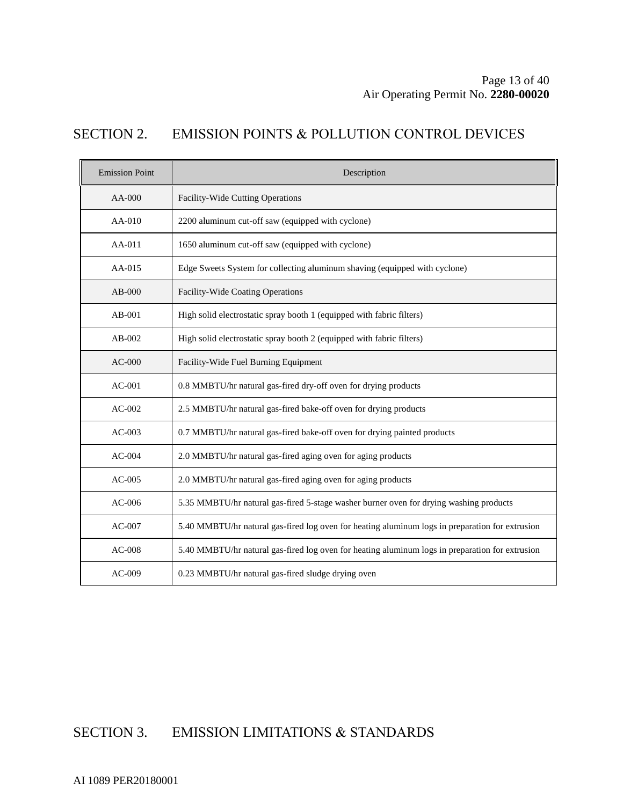## SECTION 2. EMISSION POINTS & POLLUTION CONTROL DEVICES

| <b>Emission Point</b> | Description                                                                                     |  |  |
|-----------------------|-------------------------------------------------------------------------------------------------|--|--|
| AA-000                | Facility-Wide Cutting Operations                                                                |  |  |
| $AA-010$              | 2200 aluminum cut-off saw (equipped with cyclone)                                               |  |  |
| $AA-011$              | 1650 aluminum cut-off saw (equipped with cyclone)                                               |  |  |
| AA-015                | Edge Sweets System for collecting aluminum shaving (equipped with cyclone)                      |  |  |
| $AB-000$              | Facility-Wide Coating Operations                                                                |  |  |
| $AB-001$              | High solid electrostatic spray booth 1 (equipped with fabric filters)                           |  |  |
| $AB-002$              | High solid electrostatic spray booth 2 (equipped with fabric filters)                           |  |  |
| $AC-000$              | Facility-Wide Fuel Burning Equipment                                                            |  |  |
| $AC-001$              | 0.8 MMBTU/hr natural gas-fired dry-off oven for drying products                                 |  |  |
| $AC-002$              | 2.5 MMBTU/hr natural gas-fired bake-off oven for drying products                                |  |  |
| $AC-003$              | 0.7 MMBTU/hr natural gas-fired bake-off oven for drying painted products                        |  |  |
| $AC-004$              | 2.0 MMBTU/hr natural gas-fired aging oven for aging products                                    |  |  |
| $AC-005$              | 2.0 MMBTU/hr natural gas-fired aging oven for aging products                                    |  |  |
| $AC-006$              | 5.35 MMBTU/hr natural gas-fired 5-stage washer burner oven for drying washing products          |  |  |
| $AC-007$              | 5.40 MMBTU/hr natural gas-fired log oven for heating aluminum logs in preparation for extrusion |  |  |
| $AC-008$              | 5.40 MMBTU/hr natural gas-fired log oven for heating aluminum logs in preparation for extrusion |  |  |
| $AC-009$              | 0.23 MMBTU/hr natural gas-fired sludge drying oven                                              |  |  |

# SECTION 3. EMISSION LIMITATIONS & STANDARDS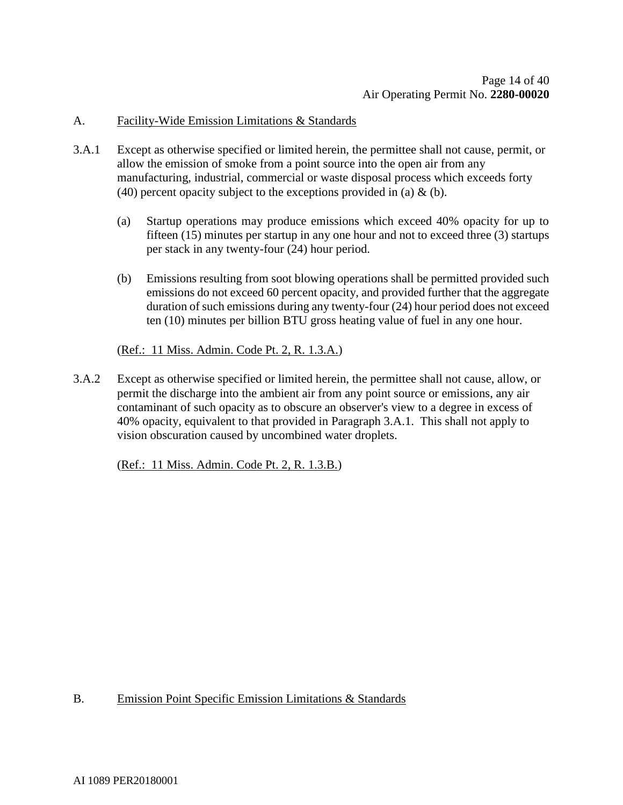#### A. Facility-Wide Emission Limitations & Standards

- 3.A.1 Except as otherwise specified or limited herein, the permittee shall not cause, permit, or allow the emission of smoke from a point source into the open air from any manufacturing, industrial, commercial or waste disposal process which exceeds forty (40) percent opacity subject to the exceptions provided in (a)  $\&$  (b).
	- (a) Startup operations may produce emissions which exceed 40% opacity for up to fifteen (15) minutes per startup in any one hour and not to exceed three (3) startups per stack in any twenty-four (24) hour period.
	- (b) Emissions resulting from soot blowing operations shall be permitted provided such emissions do not exceed 60 percent opacity, and provided further that the aggregate duration of such emissions during any twenty-four (24) hour period does not exceed ten (10) minutes per billion BTU gross heating value of fuel in any one hour.

#### (Ref.: 11 Miss. Admin. Code Pt. 2, R. 1.3.A.)

3.A.2 Except as otherwise specified or limited herein, the permittee shall not cause, allow, or permit the discharge into the ambient air from any point source or emissions, any air contaminant of such opacity as to obscure an observer's view to a degree in excess of 40% opacity, equivalent to that provided in Paragraph 3.A.1. This shall not apply to vision obscuration caused by uncombined water droplets.

(Ref.: 11 Miss. Admin. Code Pt. 2, R. 1.3.B.)

#### B. Emission Point Specific Emission Limitations & Standards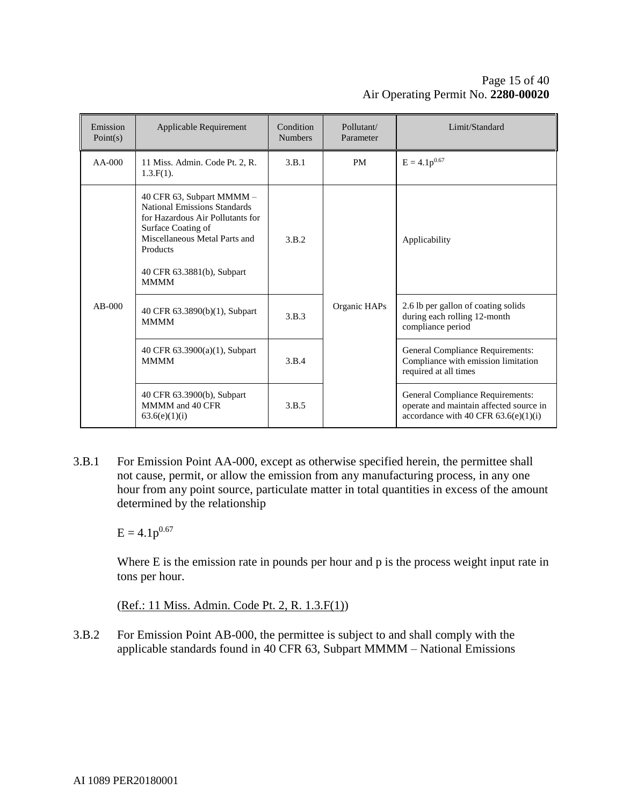#### Page 15 of [40](#page-39-0) Air Operating Permit No. **2280-00020**

| Emission<br>Point(s) | Applicable Requirement                                                                                                                                                                                               | Condition<br><b>Numbers</b> | Pollutant/<br>Parameter | Limit/Standard                                                                                                        |
|----------------------|----------------------------------------------------------------------------------------------------------------------------------------------------------------------------------------------------------------------|-----------------------------|-------------------------|-----------------------------------------------------------------------------------------------------------------------|
| $AA-000$             | 11 Miss. Admin. Code Pt. 2, R.<br>$1.3.F(1)$ .                                                                                                                                                                       | 3.B.1                       | <b>PM</b>               | $E = 4.1p^{0.67}$                                                                                                     |
| $AB-000$             | 40 CFR 63, Subpart MMMM -<br><b>National Emissions Standards</b><br>for Hazardous Air Pollutants for<br>Surface Coating of<br>Miscellaneous Metal Parts and<br>Products<br>40 CFR 63.3881(b), Subpart<br><b>MMMM</b> | 3.B.2                       | Organic HAPs            | Applicability                                                                                                         |
|                      | 40 CFR 63.3890(b)(1), Subpart<br><b>MMMM</b>                                                                                                                                                                         | 3.B.3                       |                         | 2.6 lb per gallon of coating solids<br>during each rolling 12-month<br>compliance period                              |
|                      | 40 CFR 63.3900(a)(1), Subpart<br><b>MMMM</b>                                                                                                                                                                         | 3.B.4                       |                         | <b>General Compliance Requirements:</b><br>Compliance with emission limitation<br>required at all times               |
|                      | 40 CFR 63.3900(b), Subpart<br>MMMM and 40 CFR<br>63.6(e)(1)(i)                                                                                                                                                       | 3.B.5                       |                         | General Compliance Requirements:<br>operate and maintain affected source in<br>accordance with 40 CFR $63.6(e)(1)(i)$ |

3.B.1 For Emission Point AA-000, except as otherwise specified herein, the permittee shall not cause, permit, or allow the emission from any manufacturing process, in any one hour from any point source, particulate matter in total quantities in excess of the amount determined by the relationship

 $E = 4.1p^{0.67}$ 

Where E is the emission rate in pounds per hour and p is the process weight input rate in tons per hour.

(Ref.: 11 Miss. Admin. Code Pt. 2, R. 1.3.F(1))

3.B.2 For Emission Point AB-000, the permittee is subject to and shall comply with the applicable standards found in 40 CFR 63, Subpart MMMM – National Emissions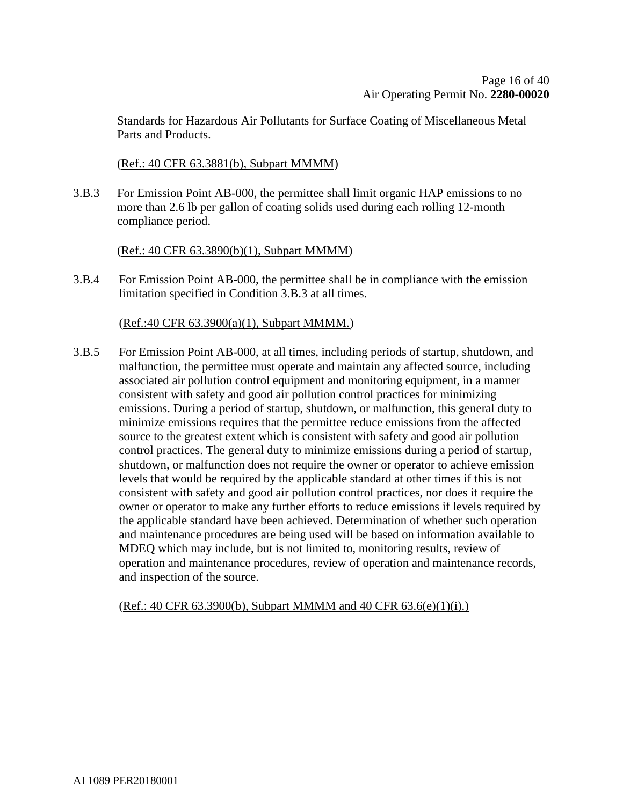Standards for Hazardous Air Pollutants for Surface Coating of Miscellaneous Metal Parts and Products.

#### (Ref.: 40 CFR 63.3881(b), Subpart MMMM)

3.B.3 For Emission Point AB-000, the permittee shall limit organic HAP emissions to no more than 2.6 lb per gallon of coating solids used during each rolling 12-month compliance period.

#### (Ref.: 40 CFR 63.3890(b)(1), Subpart MMMM)

3.B.4 For Emission Point AB-000, the permittee shall be in compliance with the emission limitation specified in Condition 3.B.3 at all times.

#### (Ref.:40 CFR 63.3900(a)(1), Subpart MMMM.)

3.B.5 For Emission Point AB-000, at all times, including periods of startup, shutdown, and malfunction, the permittee must operate and maintain any affected source, including associated air pollution control equipment and monitoring equipment, in a manner consistent with safety and good air pollution control practices for minimizing emissions. During a period of startup, shutdown, or malfunction, this general duty to minimize emissions requires that the permittee reduce emissions from the affected source to the greatest extent which is consistent with safety and good air pollution control practices. The general duty to minimize emissions during a period of startup, shutdown, or malfunction does not require the owner or operator to achieve emission levels that would be required by the applicable standard at other times if this is not consistent with safety and good air pollution control practices, nor does it require the owner or operator to make any further efforts to reduce emissions if levels required by the applicable standard have been achieved. Determination of whether such operation and maintenance procedures are being used will be based on information available to MDEQ which may include, but is not limited to, monitoring results, review of operation and maintenance procedures, review of operation and maintenance records, and inspection of the source.

#### (Ref.: 40 CFR 63.3900(b), Subpart MMMM and 40 CFR 63.6(e)(1)(i).)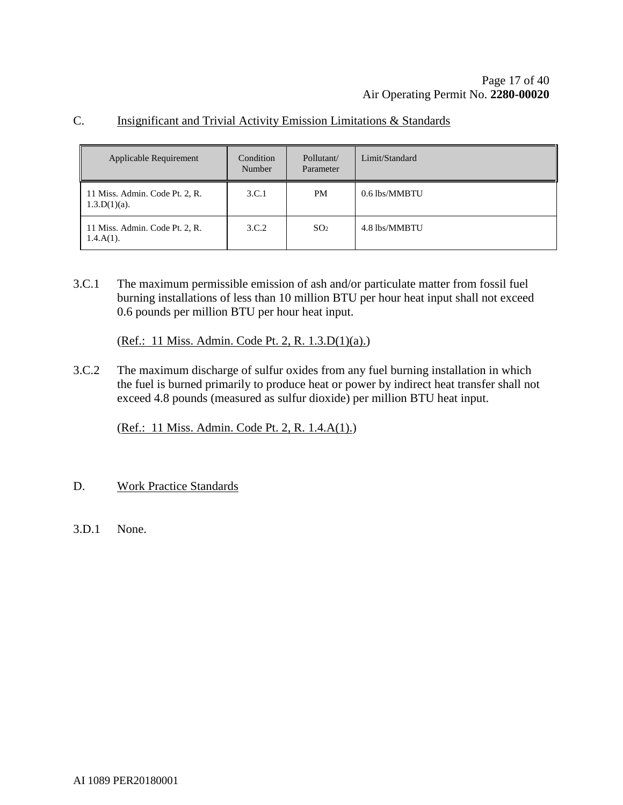#### C. Insignificant and Trivial Activity Emission Limitations & Standards

| <b>Applicable Requirement</b>                     | Condition<br>Number | Pollutant/<br>Parameter | Limit/Standard |
|---------------------------------------------------|---------------------|-------------------------|----------------|
| 11 Miss. Admin. Code Pt. 2, R.<br>$1.3.D(1)(a)$ . | 3.C.1               | PM                      | 0.6 lbs/MMBTU  |
| 11 Miss. Admin. Code Pt. 2, R.<br>$1.4.A(1)$ .    | 3.C.2               | SO <sub>2</sub>         | 4.8 lbs/MMBTU  |

3.C.1 The maximum permissible emission of ash and/or particulate matter from fossil fuel burning installations of less than 10 million BTU per hour heat input shall not exceed 0.6 pounds per million BTU per hour heat input.

(Ref.: 11 Miss. Admin. Code Pt. 2, R. 1.3.D(1)(a).)

3.C.2 The maximum discharge of sulfur oxides from any fuel burning installation in which the fuel is burned primarily to produce heat or power by indirect heat transfer shall not exceed 4.8 pounds (measured as sulfur dioxide) per million BTU heat input.

(Ref.: 11 Miss. Admin. Code Pt. 2, R. 1.4.A(1).)

- D. Work Practice Standards
- 3.D.1 None.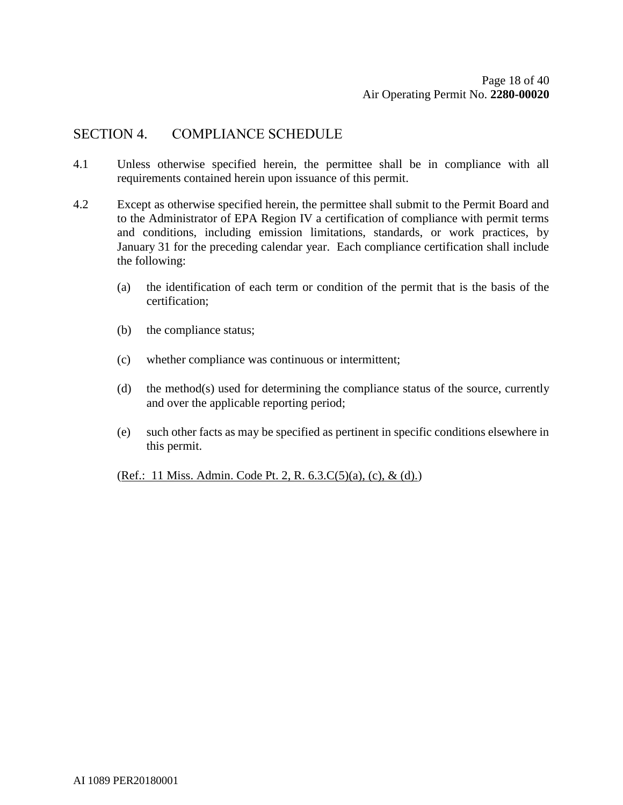### SECTION 4. COMPLIANCE SCHEDULE

- 4.1 Unless otherwise specified herein, the permittee shall be in compliance with all requirements contained herein upon issuance of this permit.
- 4.2 Except as otherwise specified herein, the permittee shall submit to the Permit Board and to the Administrator of EPA Region IV a certification of compliance with permit terms and conditions, including emission limitations, standards, or work practices, by January 31 for the preceding calendar year. Each compliance certification shall include the following:
	- (a) the identification of each term or condition of the permit that is the basis of the certification;
	- (b) the compliance status;
	- (c) whether compliance was continuous or intermittent;
	- (d) the method(s) used for determining the compliance status of the source, currently and over the applicable reporting period;
	- (e) such other facts as may be specified as pertinent in specific conditions elsewhere in this permit.

(Ref.: 11 Miss. Admin. Code Pt. 2, R. 6.3.C(5)(a), (c), & (d).)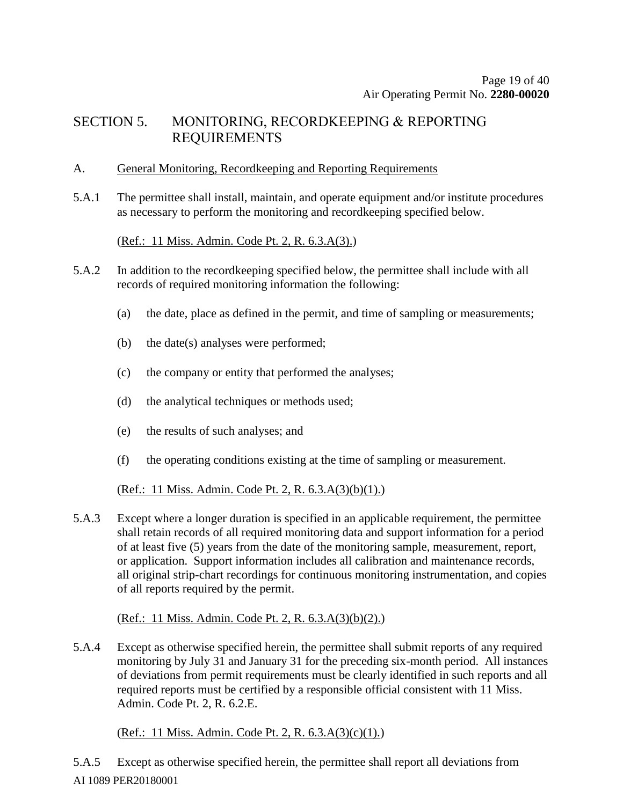### SECTION 5. MONITORING, RECORDKEEPING & REPORTING REQUIREMENTS

#### A. General Monitoring, Recordkeeping and Reporting Requirements

5.A.1 The permittee shall install, maintain, and operate equipment and/or institute procedures as necessary to perform the monitoring and recordkeeping specified below.

(Ref.: 11 Miss. Admin. Code Pt. 2, R. 6.3.A(3).)

- 5.A.2 In addition to the recordkeeping specified below, the permittee shall include with all records of required monitoring information the following:
	- (a) the date, place as defined in the permit, and time of sampling or measurements;
	- (b) the date(s) analyses were performed;
	- (c) the company or entity that performed the analyses;
	- (d) the analytical techniques or methods used;
	- (e) the results of such analyses; and
	- (f) the operating conditions existing at the time of sampling or measurement.

(Ref.: 11 Miss. Admin. Code Pt. 2, R. 6.3.A(3)(b)(1).)

5.A.3 Except where a longer duration is specified in an applicable requirement, the permittee shall retain records of all required monitoring data and support information for a period of at least five (5) years from the date of the monitoring sample, measurement, report, or application. Support information includes all calibration and maintenance records, all original strip-chart recordings for continuous monitoring instrumentation, and copies of all reports required by the permit.

(Ref.: 11 Miss. Admin. Code Pt. 2, R. 6.3.A(3)(b)(2).)

5.A.4 Except as otherwise specified herein, the permittee shall submit reports of any required monitoring by July 31 and January 31 for the preceding six-month period. All instances of deviations from permit requirements must be clearly identified in such reports and all required reports must be certified by a responsible official consistent with 11 Miss. Admin. Code Pt. 2, R. 6.2.E.

(Ref.: 11 Miss. Admin. Code Pt. 2, R. 6.3.A(3)(c)(1).)

AI 1089 PER20180001 5.A.5 Except as otherwise specified herein, the permittee shall report all deviations from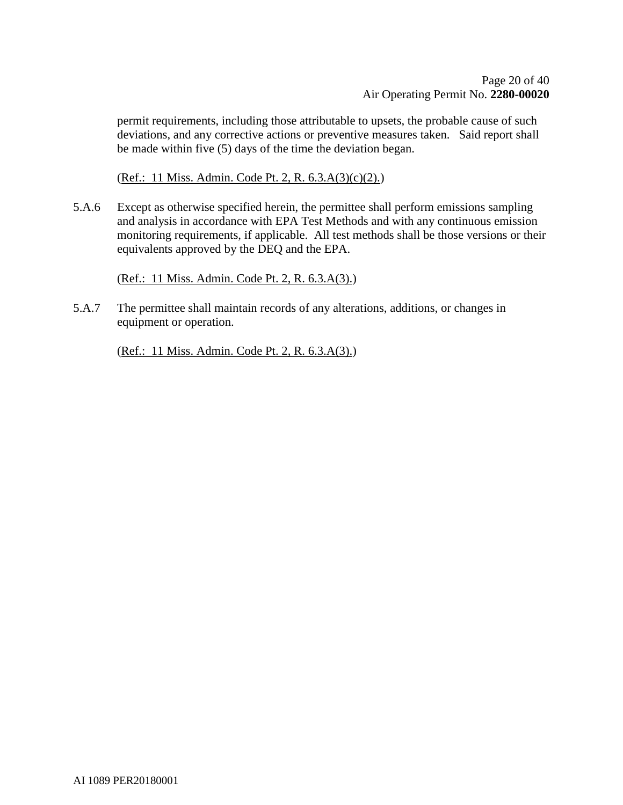permit requirements, including those attributable to upsets, the probable cause of such deviations, and any corrective actions or preventive measures taken. Said report shall be made within five (5) days of the time the deviation began.

(Ref.: 11 Miss. Admin. Code Pt. 2, R. 6.3.A(3)(c)(2).)

5.A.6 Except as otherwise specified herein, the permittee shall perform emissions sampling and analysis in accordance with EPA Test Methods and with any continuous emission monitoring requirements, if applicable. All test methods shall be those versions or their equivalents approved by the DEQ and the EPA.

(Ref.: 11 Miss. Admin. Code Pt. 2, R. 6.3.A(3).)

5.A.7 The permittee shall maintain records of any alterations, additions, or changes in equipment or operation.

(Ref.: 11 Miss. Admin. Code Pt. 2, R. 6.3.A(3).)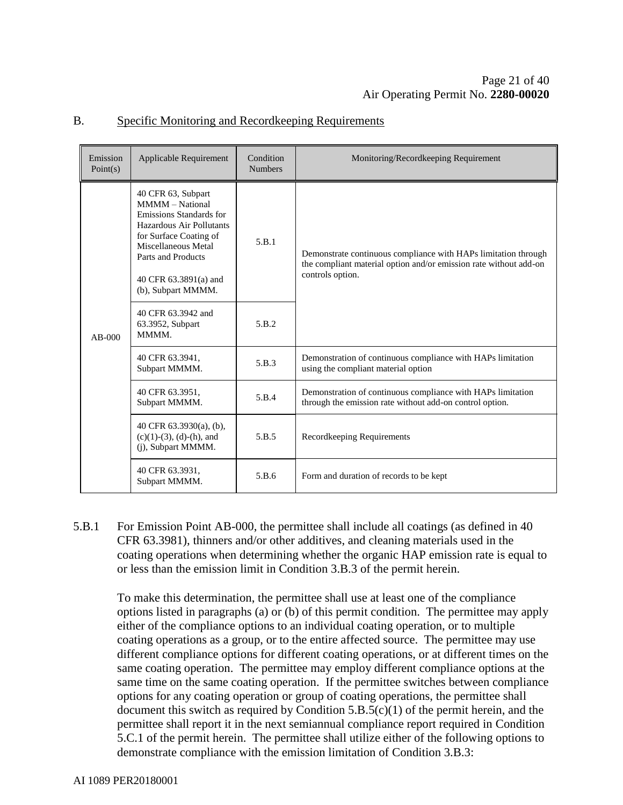| Emission<br>Point(s) | Applicable Requirement                                                                                                                                                                                                    | Condition<br><b>Numbers</b> | Monitoring/Recordkeeping Requirement                                                                                                                    |
|----------------------|---------------------------------------------------------------------------------------------------------------------------------------------------------------------------------------------------------------------------|-----------------------------|---------------------------------------------------------------------------------------------------------------------------------------------------------|
| $AB-000$             | 40 CFR 63, Subpart<br><b>MMMM</b> – National<br>Emissions Standards for<br>Hazardous Air Pollutants<br>for Surface Coating of<br>Miscellaneous Metal<br>Parts and Products<br>40 CFR 63.3891(a) and<br>(b), Subpart MMMM. | 5.B.1                       | Demonstrate continuous compliance with HAPs limitation through<br>the compliant material option and/or emission rate without add-on<br>controls option. |
|                      | 40 CFR 63.3942 and<br>63.3952, Subpart<br>MMMM.                                                                                                                                                                           | 5.B.2                       |                                                                                                                                                         |
|                      | 40 CFR 63.3941,<br>Subpart MMMM.                                                                                                                                                                                          | 5.B.3                       | Demonstration of continuous compliance with HAPs limitation<br>using the compliant material option                                                      |
|                      | 40 CFR 63.3951,<br>Subpart MMMM.                                                                                                                                                                                          | 5.B.4                       | Demonstration of continuous compliance with HAPs limitation<br>through the emission rate without add-on control option.                                 |
|                      | 40 CFR $63.3930(a)$ , (b),<br>$(c)(1)-(3)$ , $(d)-(h)$ , and<br>(j), Subpart MMMM.                                                                                                                                        | 5.B.5                       | Recordkeeping Requirements                                                                                                                              |
|                      | 40 CFR 63.3931,<br>Subpart MMMM.                                                                                                                                                                                          | 5.B.6                       | Form and duration of records to be kept                                                                                                                 |

#### B. Specific Monitoring and Recordkeeping Requirements

5.B.1 For Emission Point AB-000, the permittee shall include all coatings (as defined in 40 CFR 63.3981), thinners and/or other additives, and cleaning materials used in the coating operations when determining whether the organic HAP emission rate is equal to or less than the emission limit in Condition 3.B.3 of the permit herein.

To make this determination, the permittee shall use at least one of the compliance options listed in paragraphs (a) or (b) of this permit condition. The permittee may apply either of the compliance options to an individual coating operation, or to multiple coating operations as a group, or to the entire affected source. The permittee may use different compliance options for different coating operations, or at different times on the same coating operation. The permittee may employ different compliance options at the same time on the same coating operation. If the permittee switches between compliance options for any coating operation or group of coating operations, the permittee shall document this switch as required by Condition  $5.B.5(c)(1)$  of the permit herein, and the permittee shall report it in the next semiannual compliance report required in Condition 5.C.1 of the permit herein. The permittee shall utilize either of the following options to demonstrate compliance with the emission limitation of Condition 3.B.3: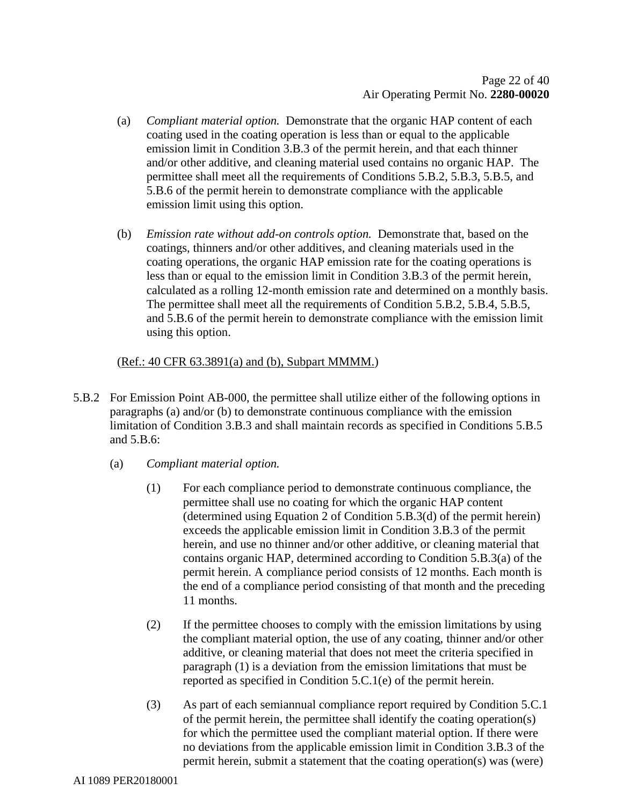- (a) *Compliant material option.* Demonstrate that the organic HAP content of each coating used in the coating operation is less than or equal to the applicable emission limit in Condition 3.B.3 of the permit herein, and that each thinner and/or other additive, and cleaning material used contains no organic HAP. The permittee shall meet all the requirements of Conditions 5.B.2, 5.B.3, 5.B.5, and 5.B.6 of the permit herein to demonstrate compliance with the applicable emission limit using this option.
- (b) *Emission rate without add-on controls option.* Demonstrate that, based on the coatings, thinners and/or other additives, and cleaning materials used in the coating operations, the organic HAP emission rate for the coating operations is less than or equal to the emission limit in Condition 3.B.3 of the permit herein, calculated as a rolling 12-month emission rate and determined on a monthly basis. The permittee shall meet all the requirements of Condition 5.B.2, 5.B.4, 5.B.5, and 5.B.6 of the permit herein to demonstrate compliance with the emission limit using this option.

#### (Ref.: 40 CFR 63.3891(a) and (b), Subpart MMMM.)

- 5.B.2 For Emission Point AB-000, the permittee shall utilize either of the following options in paragraphs (a) and/or (b) to demonstrate continuous compliance with the emission limitation of Condition 3.B.3 and shall maintain records as specified in Conditions 5.B.5 and 5.B.6:
	- (a) *Compliant material option.*
		- (1) For each compliance period to demonstrate continuous compliance, the permittee shall use no coating for which the organic HAP content (determined using Equation 2 of Condition 5.B.3(d) of the permit herein) exceeds the applicable emission limit in Condition 3.B.3 of the permit herein, and use no thinner and/or other additive, or cleaning material that contains organic HAP, determined according to Condition 5.B.3(a) of the permit herein. A compliance period consists of 12 months. Each month is the end of a compliance period consisting of that month and the preceding 11 months.
		- (2) If the permittee chooses to comply with the emission limitations by using the compliant material option, the use of any coating, thinner and/or other additive, or cleaning material that does not meet the criteria specified in paragraph (1) is a deviation from the emission limitations that must be reported as specified in Condition 5.C.1(e) of the permit herein.
		- (3) As part of each semiannual compliance report required by Condition 5.C.1 of the permit herein, the permittee shall identify the coating operation(s) for which the permittee used the compliant material option. If there were no deviations from the applicable emission limit in Condition 3.B.3 of the permit herein, submit a statement that the coating operation(s) was (were)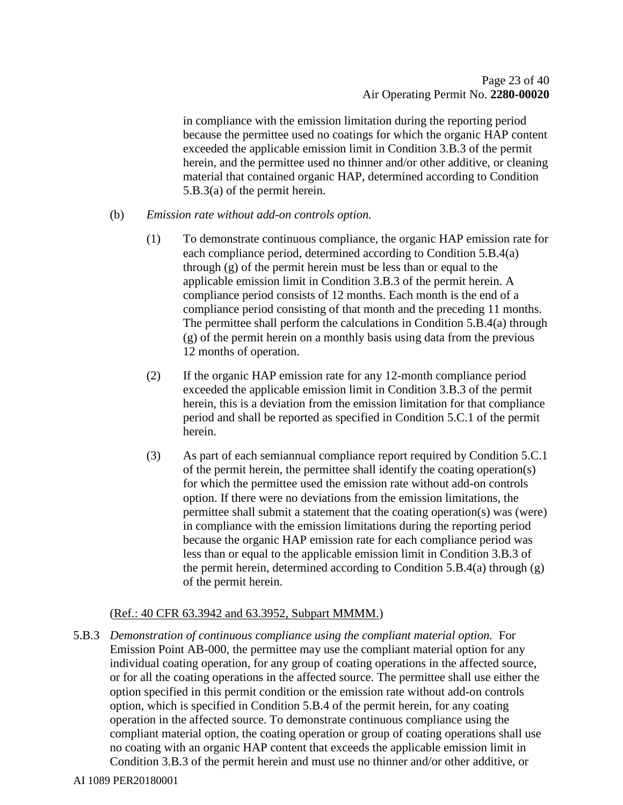in compliance with the emission limitation during the reporting period because the permittee used no coatings for which the organic HAP content exceeded the applicable emission limit in Condition 3.B.3 of the permit herein, and the permittee used no thinner and/or other additive, or cleaning material that contained organic HAP, determined according to Condition 5.B.3(a) of the permit herein.

#### (b) *Emission rate without add-on controls option.*

- (1) To demonstrate continuous compliance, the organic HAP emission rate for each compliance period, determined according to Condition 5.B.4(a) through (g) of the permit herein must be less than or equal to the applicable emission limit in Condition 3.B.3 of the permit herein. A compliance period consists of 12 months. Each month is the end of a compliance period consisting of that month and the preceding 11 months. The permittee shall perform the calculations in Condition 5.B.4(a) through (g) of the permit herein on a monthly basis using data from the previous 12 months of operation.
- (2) If the organic HAP emission rate for any 12-month compliance period exceeded the applicable emission limit in Condition 3.B.3 of the permit herein, this is a deviation from the emission limitation for that compliance period and shall be reported as specified in Condition 5.C.1 of the permit herein.
- (3) As part of each semiannual compliance report required by Condition 5.C.1 of the permit herein, the permittee shall identify the coating operation(s) for which the permittee used the emission rate without add-on controls option. If there were no deviations from the emission limitations, the permittee shall submit a statement that the coating operation(s) was (were) in compliance with the emission limitations during the reporting period because the organic HAP emission rate for each compliance period was less than or equal to the applicable emission limit in Condition 3.B.3 of the permit herein, determined according to Condition 5.B.4(a) through  $(g)$ of the permit herein.

#### (Ref.: 40 CFR 63.3942 and 63.3952, Subpart MMMM.)

5.B.3 *Demonstration of continuous compliance using the compliant material option.* For Emission Point AB-000, the permittee may use the compliant material option for any individual coating operation, for any group of coating operations in the affected source, or for all the coating operations in the affected source. The permittee shall use either the option specified in this permit condition or the emission rate without add-on controls option, which is specified in Condition 5.B.4 of the permit herein, for any coating operation in the affected source. To demonstrate continuous compliance using the compliant material option, the coating operation or group of coating operations shall use no coating with an organic HAP content that exceeds the applicable emission limit in Condition 3.B.3 of the permit herein and must use no thinner and/or other additive, or

AI 1089 PER20180001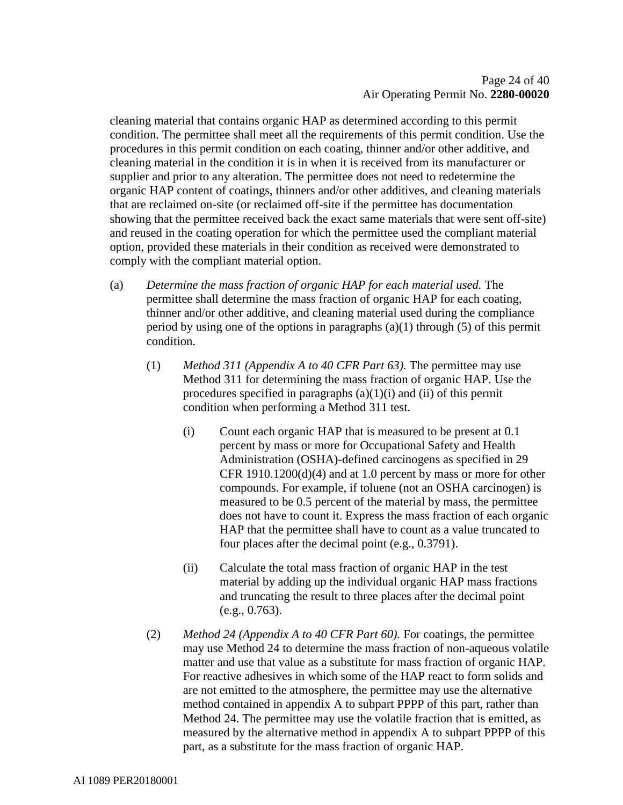cleaning material that contains organic HAP as determined according to this permit condition. The permittee shall meet all the requirements of this permit condition. Use the procedures in this permit condition on each coating, thinner and/or other additive, and cleaning material in the condition it is in when it is received from its manufacturer or supplier and prior to any alteration. The permittee does not need to redetermine the organic HAP content of coatings, thinners and/or other additives, and cleaning materials that are reclaimed on-site (or reclaimed off-site if the permittee has documentation showing that the permittee received back the exact same materials that were sent off-site) and reused in the coating operation for which the permittee used the compliant material option, provided these materials in their condition as received were demonstrated to comply with the compliant material option.

- (a) *Determine the mass fraction of organic HAP for each material used.* The permittee shall determine the mass fraction of organic HAP for each coating, thinner and/or other additive, and cleaning material used during the compliance period by using one of the options in paragraphs  $(a)(1)$  through (5) of this permit condition.
	- (1) *Method 311 (Appendix A to 40 CFR Part 63).* The permittee may use Method 311 for determining the mass fraction of organic HAP. Use the procedures specified in paragraphs  $(a)(1)(i)$  and  $(ii)$  of this permit condition when performing a Method 311 test.
		- (i) Count each organic HAP that is measured to be present at 0.1 percent by mass or more for Occupational Safety and Health Administration (OSHA)-defined carcinogens as specified in 29 CFR 1910.1200(d)(4) and at 1.0 percent by mass or more for other compounds. For example, if toluene (not an OSHA carcinogen) is measured to be 0.5 percent of the material by mass, the permittee does not have to count it. Express the mass fraction of each organic HAP that the permittee shall have to count as a value truncated to four places after the decimal point (e.g., 0.3791).
		- (ii) Calculate the total mass fraction of organic HAP in the test material by adding up the individual organic HAP mass fractions and truncating the result to three places after the decimal point (e.g., 0.763).
	- (2) *Method 24 (Appendix A to 40 CFR Part 60).* For coatings, the permittee may use Method 24 to determine the mass fraction of non-aqueous volatile matter and use that value as a substitute for mass fraction of organic HAP. For reactive adhesives in which some of the HAP react to form solids and are not emitted to the atmosphere, the permittee may use the alternative method contained in appendix A to subpart PPPP of this part, rather than Method 24. The permittee may use the volatile fraction that is emitted, as measured by the alternative method in appendix A to subpart PPPP of this part, as a substitute for the mass fraction of organic HAP.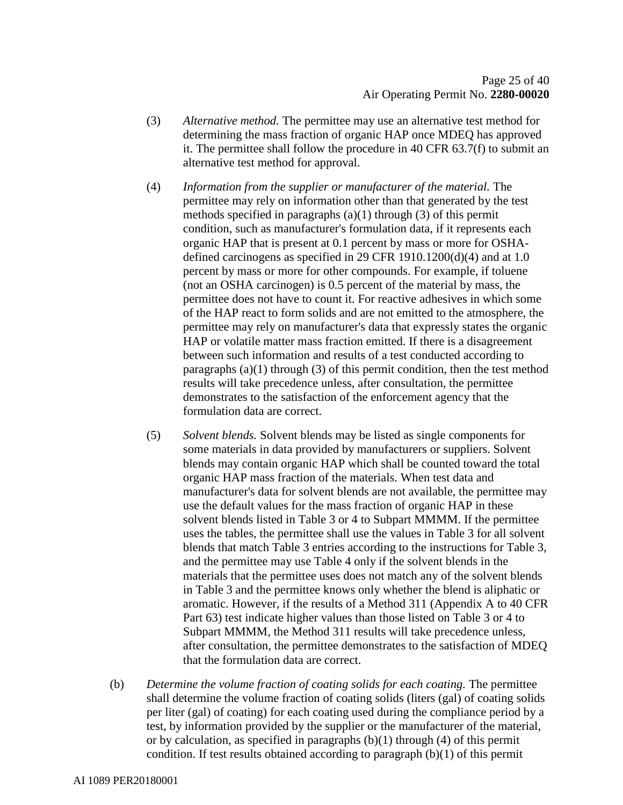- (3) *Alternative method.* The permittee may use an alternative test method for determining the mass fraction of organic HAP once MDEQ has approved it. The permittee shall follow the procedure in 40 CFR 63.7(f) to submit an alternative test method for approval.
- (4) *Information from the supplier or manufacturer of the material.* The permittee may rely on information other than that generated by the test methods specified in paragraphs  $(a)(1)$  through  $(3)$  of this permit condition, such as manufacturer's formulation data, if it represents each organic HAP that is present at 0.1 percent by mass or more for OSHAdefined carcinogens as specified in 29 CFR 1910.1200(d)(4) and at 1.0 percent by mass or more for other compounds. For example, if toluene (not an OSHA carcinogen) is 0.5 percent of the material by mass, the permittee does not have to count it. For reactive adhesives in which some of the HAP react to form solids and are not emitted to the atmosphere, the permittee may rely on manufacturer's data that expressly states the organic HAP or volatile matter mass fraction emitted. If there is a disagreement between such information and results of a test conducted according to paragraphs  $(a)(1)$  through  $(3)$  of this permit condition, then the test method results will take precedence unless, after consultation, the permittee demonstrates to the satisfaction of the enforcement agency that the formulation data are correct.
- (5) *Solvent blends.* Solvent blends may be listed as single components for some materials in data provided by manufacturers or suppliers. Solvent blends may contain organic HAP which shall be counted toward the total organic HAP mass fraction of the materials. When test data and manufacturer's data for solvent blends are not available, the permittee may use the default values for the mass fraction of organic HAP in these solvent blends listed in Table 3 or 4 to Subpart MMMM. If the permittee uses the tables, the permittee shall use the values in Table 3 for all solvent blends that match Table 3 entries according to the instructions for Table 3, and the permittee may use Table 4 only if the solvent blends in the materials that the permittee uses does not match any of the solvent blends in Table 3 and the permittee knows only whether the blend is aliphatic or aromatic. However, if the results of a Method 311 (Appendix A to 40 CFR Part 63) test indicate higher values than those listed on Table 3 or 4 to Subpart MMMM, the Method 311 results will take precedence unless, after consultation, the permittee demonstrates to the satisfaction of MDEQ that the formulation data are correct.
- (b) *Determine the volume fraction of coating solids for each coating.* The permittee shall determine the volume fraction of coating solids (liters (gal) of coating solids per liter (gal) of coating) for each coating used during the compliance period by a test, by information provided by the supplier or the manufacturer of the material, or by calculation, as specified in paragraphs  $(b)(1)$  through  $(4)$  of this permit condition. If test results obtained according to paragraph (b)(1) of this permit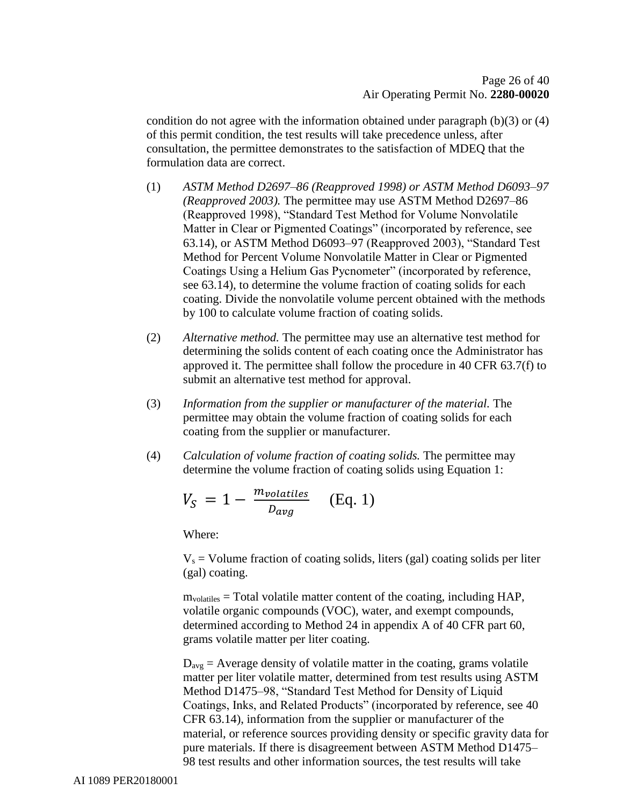condition do not agree with the information obtained under paragraph  $(b)(3)$  or  $(4)$ of this permit condition, the test results will take precedence unless, after consultation, the permittee demonstrates to the satisfaction of MDEQ that the formulation data are correct.

- (1) *ASTM Method D2697–86 (Reapproved 1998) or ASTM Method D6093–97 (Reapproved 2003).* The permittee may use ASTM Method D2697–86 (Reapproved 1998), "Standard Test Method for Volume Nonvolatile Matter in Clear or Pigmented Coatings" (incorporated by reference, see 63.14), or ASTM Method D6093–97 (Reapproved 2003), "Standard Test Method for Percent Volume Nonvolatile Matter in Clear or Pigmented Coatings Using a Helium Gas Pycnometer" (incorporated by reference, see 63.14), to determine the volume fraction of coating solids for each coating. Divide the nonvolatile volume percent obtained with the methods by 100 to calculate volume fraction of coating solids.
- (2) *Alternative method.* The permittee may use an alternative test method for determining the solids content of each coating once the Administrator has approved it. The permittee shall follow the procedure in 40 CFR 63.7(f) to submit an alternative test method for approval.
- (3) *Information from the supplier or manufacturer of the material.* The permittee may obtain the volume fraction of coating solids for each coating from the supplier or manufacturer.
- (4) *Calculation of volume fraction of coating solids.* The permittee may determine the volume fraction of coating solids using Equation 1:

$$
V_S = 1 - \frac{m_{volatiles}}{D_{avg}} \quad (Eq. 1)
$$

Where:

 $V<sub>s</sub>$  = Volume fraction of coating solids, liters (gal) coating solids per liter (gal) coating.

mvolatiles = Total volatile matter content of the coating, including HAP, volatile organic compounds (VOC), water, and exempt compounds, determined according to Method 24 in appendix A of 40 CFR part 60, grams volatile matter per liter coating.

 $D_{avg}$  = Average density of volatile matter in the coating, grams volatile matter per liter volatile matter, determined from test results using ASTM Method D1475–98, "Standard Test Method for Density of Liquid Coatings, Inks, and Related Products" (incorporated by reference, see 40 CFR 63.14), information from the supplier or manufacturer of the material, or reference sources providing density or specific gravity data for pure materials. If there is disagreement between ASTM Method D1475– 98 test results and other information sources, the test results will take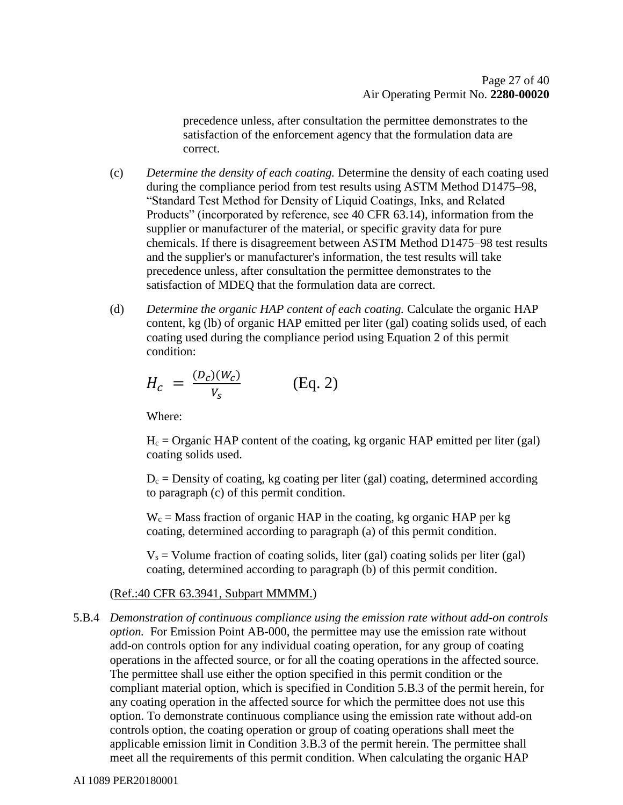precedence unless, after consultation the permittee demonstrates to the satisfaction of the enforcement agency that the formulation data are correct.

- (c) *Determine the density of each coating.* Determine the density of each coating used during the compliance period from test results using ASTM Method D1475–98, "Standard Test Method for Density of Liquid Coatings, Inks, and Related Products" (incorporated by reference, see 40 CFR 63.14), information from the supplier or manufacturer of the material, or specific gravity data for pure chemicals. If there is disagreement between ASTM Method D1475–98 test results and the supplier's or manufacturer's information, the test results will take precedence unless, after consultation the permittee demonstrates to the satisfaction of MDEQ that the formulation data are correct.
- (d) *Determine the organic HAP content of each coating.* Calculate the organic HAP content, kg (lb) of organic HAP emitted per liter (gal) coating solids used, of each coating used during the compliance period using Equation 2 of this permit condition:

$$
H_c = \frac{(D_c)(W_c)}{V_s} \tag{Eq. 2}
$$

Where:

 $H_c =$  Organic HAP content of the coating, kg organic HAP emitted per liter (gal) coating solids used.

 $D_c$  = Density of coating, kg coating per liter (gal) coating, determined according to paragraph (c) of this permit condition.

 $W_c$  = Mass fraction of organic HAP in the coating, kg organic HAP per kg coating, determined according to paragraph (a) of this permit condition.

 $V_s$  = Volume fraction of coating solids, liter (gal) coating solids per liter (gal) coating, determined according to paragraph (b) of this permit condition.

#### (Ref.:40 CFR 63.3941, Subpart MMMM.)

5.B.4 *Demonstration of continuous compliance using the emission rate without add-on controls option.* For Emission Point AB-000, the permittee may use the emission rate without add-on controls option for any individual coating operation, for any group of coating operations in the affected source, or for all the coating operations in the affected source. The permittee shall use either the option specified in this permit condition or the compliant material option, which is specified in Condition 5.B.3 of the permit herein, for any coating operation in the affected source for which the permittee does not use this option. To demonstrate continuous compliance using the emission rate without add-on controls option, the coating operation or group of coating operations shall meet the applicable emission limit in Condition 3.B.3 of the permit herein. The permittee shall meet all the requirements of this permit condition. When calculating the organic HAP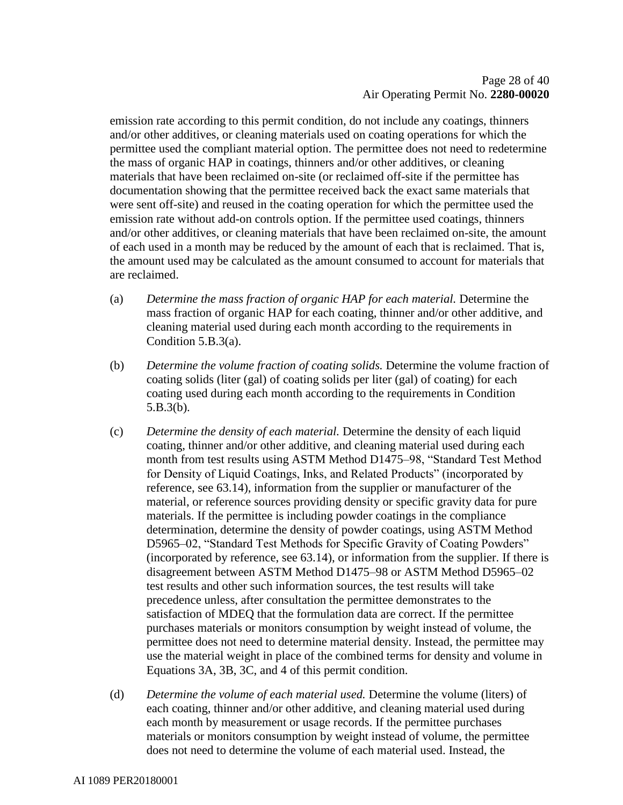emission rate according to this permit condition, do not include any coatings, thinners and/or other additives, or cleaning materials used on coating operations for which the permittee used the compliant material option. The permittee does not need to redetermine the mass of organic HAP in coatings, thinners and/or other additives, or cleaning materials that have been reclaimed on-site (or reclaimed off-site if the permittee has documentation showing that the permittee received back the exact same materials that were sent off-site) and reused in the coating operation for which the permittee used the emission rate without add-on controls option. If the permittee used coatings, thinners and/or other additives, or cleaning materials that have been reclaimed on-site, the amount of each used in a month may be reduced by the amount of each that is reclaimed. That is, the amount used may be calculated as the amount consumed to account for materials that are reclaimed.

- (a) *Determine the mass fraction of organic HAP for each material.* Determine the mass fraction of organic HAP for each coating, thinner and/or other additive, and cleaning material used during each month according to the requirements in Condition 5.B.3(a).
- (b) *Determine the volume fraction of coating solids.* Determine the volume fraction of coating solids (liter (gal) of coating solids per liter (gal) of coating) for each coating used during each month according to the requirements in Condition 5.B.3(b).
- (c) *Determine the density of each material.* Determine the density of each liquid coating, thinner and/or other additive, and cleaning material used during each month from test results using ASTM Method D1475–98, "Standard Test Method for Density of Liquid Coatings, Inks, and Related Products" (incorporated by reference, see 63.14), information from the supplier or manufacturer of the material, or reference sources providing density or specific gravity data for pure materials. If the permittee is including powder coatings in the compliance determination, determine the density of powder coatings, using ASTM Method D5965–02, "Standard Test Methods for Specific Gravity of Coating Powders" (incorporated by reference, see 63.14), or information from the supplier. If there is disagreement between ASTM Method D1475–98 or ASTM Method D5965–02 test results and other such information sources, the test results will take precedence unless, after consultation the permittee demonstrates to the satisfaction of MDEQ that the formulation data are correct. If the permittee purchases materials or monitors consumption by weight instead of volume, the permittee does not need to determine material density. Instead, the permittee may use the material weight in place of the combined terms for density and volume in Equations 3A, 3B, 3C, and 4 of this permit condition.
- (d) *Determine the volume of each material used.* Determine the volume (liters) of each coating, thinner and/or other additive, and cleaning material used during each month by measurement or usage records. If the permittee purchases materials or monitors consumption by weight instead of volume, the permittee does not need to determine the volume of each material used. Instead, the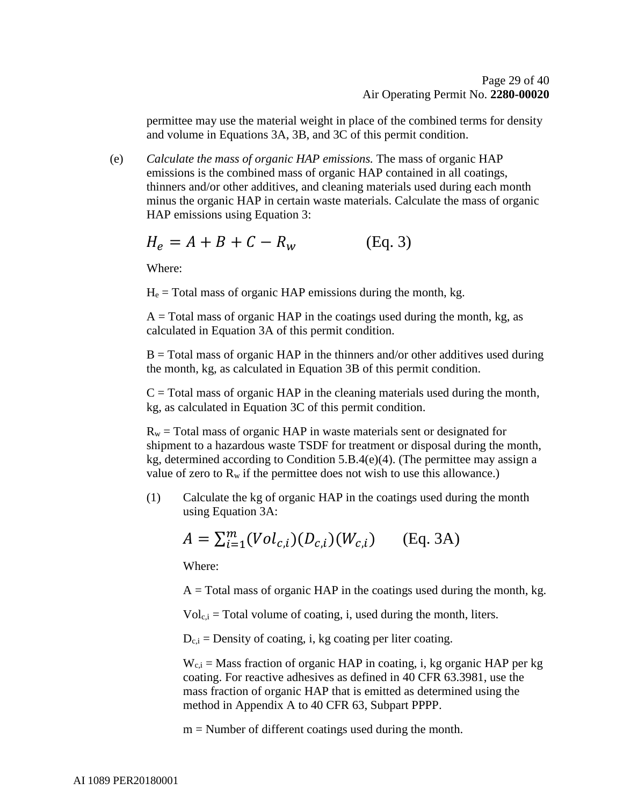permittee may use the material weight in place of the combined terms for density and volume in Equations 3A, 3B, and 3C of this permit condition.

(e) *Calculate the mass of organic HAP emissions.* The mass of organic HAP emissions is the combined mass of organic HAP contained in all coatings, thinners and/or other additives, and cleaning materials used during each month minus the organic HAP in certain waste materials. Calculate the mass of organic HAP emissions using Equation 3:

$$
H_e = A + B + C - R_w \tag{Eq. 3}
$$

Where:

 $H<sub>e</sub>$  = Total mass of organic HAP emissions during the month, kg.

 $A = Total mass of organic HAP in the coatings used during the month, kg, as$ calculated in Equation 3A of this permit condition.

 $B = Total mass of organic HAP in the thinners and/or other additives used during$ the month, kg, as calculated in Equation 3B of this permit condition.

 $C = \text{Total mass of organic HAP}$  in the cleaning materials used during the month, kg, as calculated in Equation 3C of this permit condition.

 $R_w$  = Total mass of organic HAP in waste materials sent or designated for shipment to a hazardous waste TSDF for treatment or disposal during the month, kg, determined according to Condition 5.B.4(e)(4). (The permittee may assign a value of zero to  $R_w$  if the permittee does not wish to use this allowance.)

(1) Calculate the kg of organic HAP in the coatings used during the month using Equation 3A:

$$
A = \sum_{i=1}^{m} (Vol_{c,i})(D_{c,i})(W_{c,i})
$$
 (Eq. 3A)

Where:

 $A = Total mass of organic HAP in the coating used during the month, kg.$ 

 $Vol_{c,i}$  = Total volume of coating, i, used during the month, liters.

 $D_{c,i}$  = Density of coating, i, kg coating per liter coating.

 $W_{c,i}$  = Mass fraction of organic HAP in coating, i, kg organic HAP per kg coating. For reactive adhesives as defined in 40 CFR 63.3981, use the mass fraction of organic HAP that is emitted as determined using the method in Appendix A to 40 CFR 63, Subpart PPPP.

 $m =$  Number of different coatings used during the month.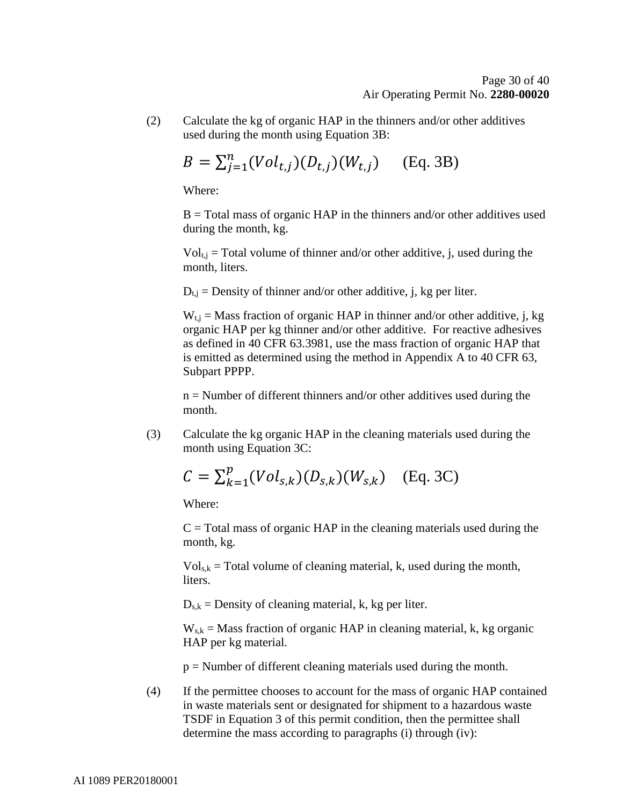(2) Calculate the kg of organic HAP in the thinners and/or other additives used during the month using Equation 3B:

$$
B = \sum_{j=1}^{n} (Vol_{t,j})(D_{t,j})(W_{t,j})
$$
 (Eq. 3B)

Where:

 $B = Total mass of organic HAP in the thinners and/or other additives used$ during the month, kg.

 $Vol_{t,i}$  = Total volume of thinner and/or other additive, j, used during the month, liters.

 $D_{t,i}$  = Density of thinner and/or other additive, j, kg per liter.

 $W_{t,i}$  = Mass fraction of organic HAP in thinner and/or other additive, j, kg organic HAP per kg thinner and/or other additive. For reactive adhesives as defined in 40 CFR 63.3981, use the mass fraction of organic HAP that is emitted as determined using the method in Appendix A to 40 CFR 63, Subpart PPPP.

 $n =$  Number of different thinners and/or other additives used during the month.

(3) Calculate the kg organic HAP in the cleaning materials used during the month using Equation 3C:

$$
C = \sum_{k=1}^{p} (Vol_{s,k})(D_{s,k})(W_{s,k})
$$
 (Eq. 3C)

Where:

 $C = Total mass of organic HAP in the cleaning materials used during the$ month, kg.

 $Vol_{s,k}$  = Total volume of cleaning material, k, used during the month, liters.

 $D_{s,k}$  = Density of cleaning material, k, kg per liter.

 $W_{s,k}$  = Mass fraction of organic HAP in cleaning material, k, kg organic HAP per kg material.

p = Number of different cleaning materials used during the month.

(4) If the permittee chooses to account for the mass of organic HAP contained in waste materials sent or designated for shipment to a hazardous waste TSDF in Equation 3 of this permit condition, then the permittee shall determine the mass according to paragraphs (i) through (iv):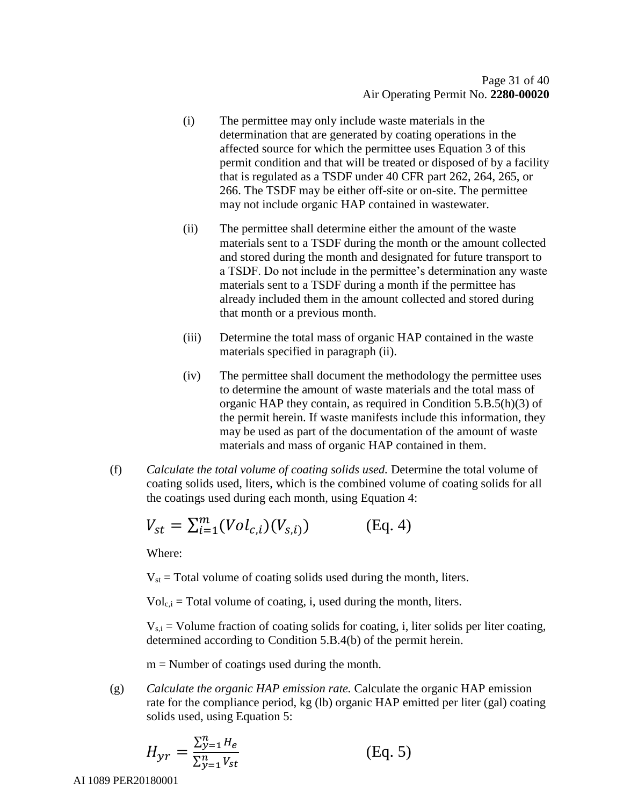- (i) The permittee may only include waste materials in the determination that are generated by coating operations in the affected source for which the permittee uses Equation 3 of this permit condition and that will be treated or disposed of by a facility that is regulated as a TSDF under 40 CFR part 262, 264, 265, or 266. The TSDF may be either off-site or on-site. The permittee may not include organic HAP contained in wastewater.
- (ii) The permittee shall determine either the amount of the waste materials sent to a TSDF during the month or the amount collected and stored during the month and designated for future transport to a TSDF. Do not include in the permittee's determination any waste materials sent to a TSDF during a month if the permittee has already included them in the amount collected and stored during that month or a previous month.
- (iii) Determine the total mass of organic HAP contained in the waste materials specified in paragraph (ii).
- (iv) The permittee shall document the methodology the permittee uses to determine the amount of waste materials and the total mass of organic HAP they contain, as required in Condition 5.B.5(h)(3) of the permit herein. If waste manifests include this information, they may be used as part of the documentation of the amount of waste materials and mass of organic HAP contained in them.
- (f) *Calculate the total volume of coating solids used.* Determine the total volume of coating solids used, liters, which is the combined volume of coating solids for all the coatings used during each month, using Equation 4:

$$
V_{st} = \sum_{i=1}^{m} (Vol_{c,i})(V_{s,i})
$$
 (Eq. 4)

Where:

 $V_{st}$  = Total volume of coating solids used during the month, liters.

 $Vol_{c,i}$  = Total volume of coating, i, used during the month, liters.

 $V_{si}$  = Volume fraction of coating solids for coating, i, liter solids per liter coating, determined according to Condition 5.B.4(b) of the permit herein.

 $m =$  Number of coatings used during the month.

(g) *Calculate the organic HAP emission rate.* Calculate the organic HAP emission rate for the compliance period, kg (lb) organic HAP emitted per liter (gal) coating solids used, using Equation 5:

$$
H_{yr} = \frac{\sum_{y=1}^{n} H_e}{\sum_{y=1}^{n} V_{st}}
$$
 (Eq. 5)

AI 1089 PER20180001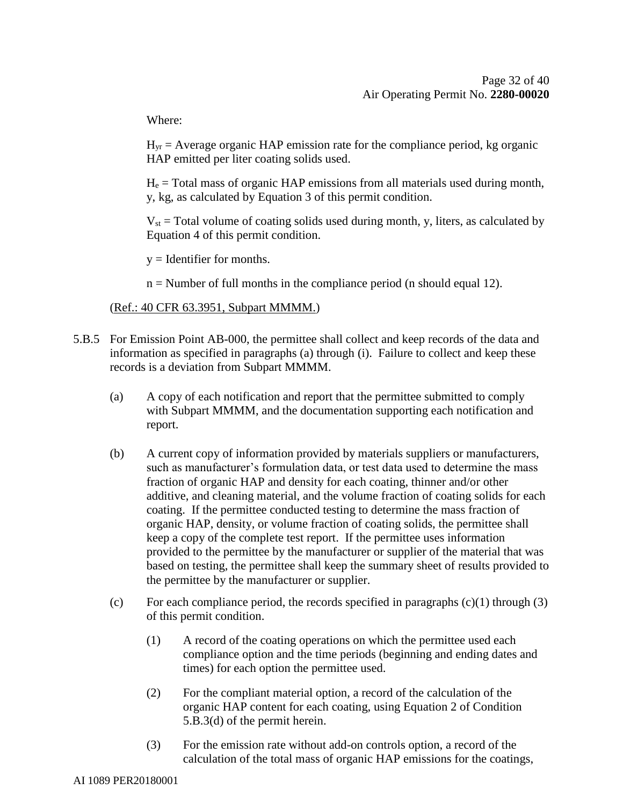Where:

 $H_{vr}$  = Average organic HAP emission rate for the compliance period, kg organic HAP emitted per liter coating solids used.

 $H<sub>e</sub>$  = Total mass of organic HAP emissions from all materials used during month, y, kg, as calculated by Equation 3 of this permit condition.

 $V_{st}$  = Total volume of coating solids used during month, y, liters, as calculated by Equation 4 of this permit condition.

 $y =$ Identifier for months.

n = Number of full months in the compliance period (n should equal 12).

#### (Ref.: 40 CFR 63.3951, Subpart MMMM.)

- 5.B.5 For Emission Point AB-000, the permittee shall collect and keep records of the data and information as specified in paragraphs (a) through (i). Failure to collect and keep these records is a deviation from Subpart MMMM.
	- (a) A copy of each notification and report that the permittee submitted to comply with Subpart MMMM, and the documentation supporting each notification and report.
	- (b) A current copy of information provided by materials suppliers or manufacturers, such as manufacturer's formulation data, or test data used to determine the mass fraction of organic HAP and density for each coating, thinner and/or other additive, and cleaning material, and the volume fraction of coating solids for each coating. If the permittee conducted testing to determine the mass fraction of organic HAP, density, or volume fraction of coating solids, the permittee shall keep a copy of the complete test report. If the permittee uses information provided to the permittee by the manufacturer or supplier of the material that was based on testing, the permittee shall keep the summary sheet of results provided to the permittee by the manufacturer or supplier.
	- (c) For each compliance period, the records specified in paragraphs  $(c)(1)$  through  $(3)$ of this permit condition.
		- (1) A record of the coating operations on which the permittee used each compliance option and the time periods (beginning and ending dates and times) for each option the permittee used.
		- (2) For the compliant material option, a record of the calculation of the organic HAP content for each coating, using Equation 2 of Condition 5.B.3(d) of the permit herein.
		- (3) For the emission rate without add-on controls option, a record of the calculation of the total mass of organic HAP emissions for the coatings,

AI 1089 PER20180001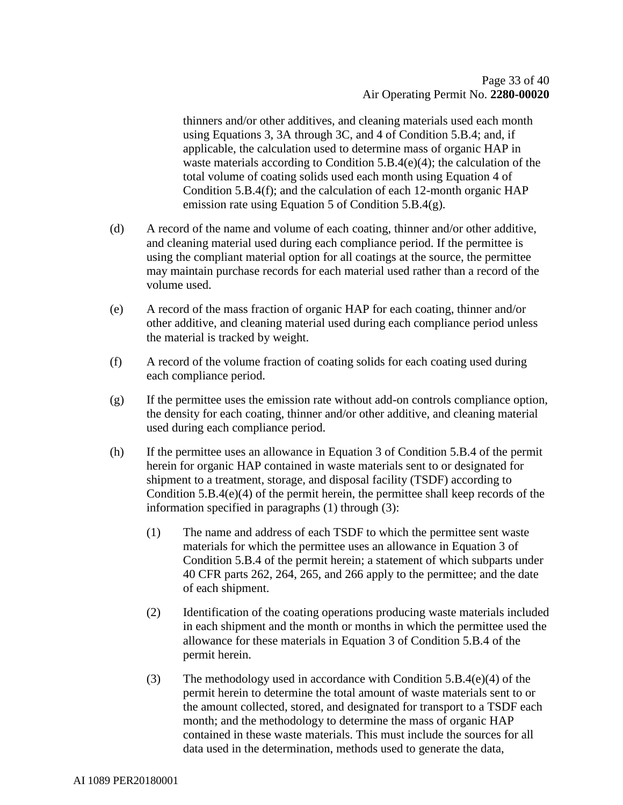thinners and/or other additives, and cleaning materials used each month using Equations 3, 3A through 3C, and 4 of Condition 5.B.4; and, if applicable, the calculation used to determine mass of organic HAP in waste materials according to Condition 5.B.4(e)(4); the calculation of the total volume of coating solids used each month using Equation 4 of Condition 5.B.4(f); and the calculation of each 12-month organic HAP emission rate using Equation 5 of Condition 5.B.4(g).

- (d) A record of the name and volume of each coating, thinner and/or other additive, and cleaning material used during each compliance period. If the permittee is using the compliant material option for all coatings at the source, the permittee may maintain purchase records for each material used rather than a record of the volume used.
- (e) A record of the mass fraction of organic HAP for each coating, thinner and/or other additive, and cleaning material used during each compliance period unless the material is tracked by weight.
- (f) A record of the volume fraction of coating solids for each coating used during each compliance period.
- (g) If the permittee uses the emission rate without add-on controls compliance option, the density for each coating, thinner and/or other additive, and cleaning material used during each compliance period.
- (h) If the permittee uses an allowance in Equation 3 of Condition 5.B.4 of the permit herein for organic HAP contained in waste materials sent to or designated for shipment to a treatment, storage, and disposal facility (TSDF) according to Condition 5.B.4(e)(4) of the permit herein, the permittee shall keep records of the information specified in paragraphs (1) through (3):
	- (1) The name and address of each TSDF to which the permittee sent waste materials for which the permittee uses an allowance in Equation 3 of Condition 5.B.4 of the permit herein; a statement of which subparts under 40 CFR parts 262, 264, 265, and 266 apply to the permittee; and the date of each shipment.
	- (2) Identification of the coating operations producing waste materials included in each shipment and the month or months in which the permittee used the allowance for these materials in Equation 3 of Condition 5.B.4 of the permit herein.
	- (3) The methodology used in accordance with Condition  $5.B.4(e)(4)$  of the permit herein to determine the total amount of waste materials sent to or the amount collected, stored, and designated for transport to a TSDF each month; and the methodology to determine the mass of organic HAP contained in these waste materials. This must include the sources for all data used in the determination, methods used to generate the data,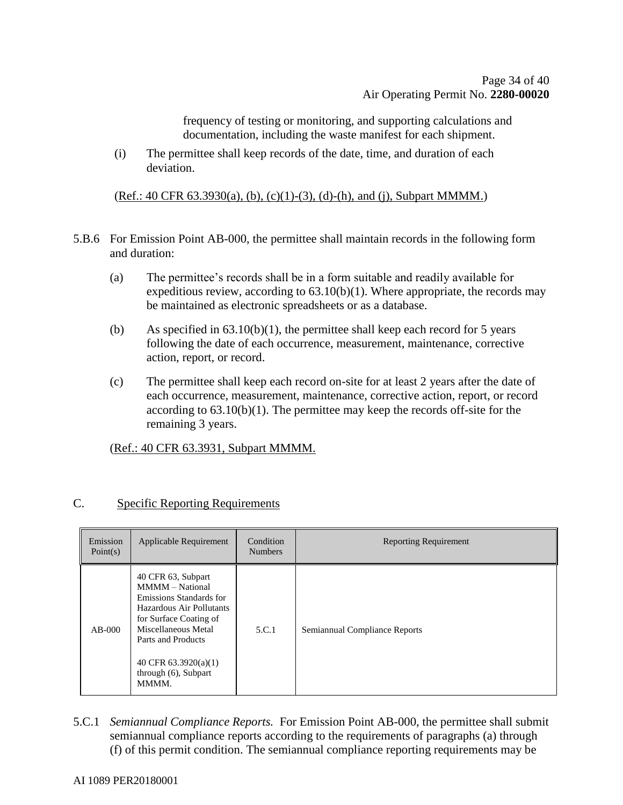frequency of testing or monitoring, and supporting calculations and documentation, including the waste manifest for each shipment.

(i) The permittee shall keep records of the date, time, and duration of each deviation.

(Ref.: 40 CFR 63.3930(a), (b), (c)(1)-(3), (d)-(h), and (j), Subpart MMMM.)

- 5.B.6 For Emission Point AB-000, the permittee shall maintain records in the following form and duration:
	- (a) The permittee's records shall be in a form suitable and readily available for expeditious review, according to  $63.10(b)(1)$ . Where appropriate, the records may be maintained as electronic spreadsheets or as a database.
	- (b) As specified in  $63.10(b)(1)$ , the permittee shall keep each record for 5 years following the date of each occurrence, measurement, maintenance, corrective action, report, or record.
	- (c) The permittee shall keep each record on-site for at least 2 years after the date of each occurrence, measurement, maintenance, corrective action, report, or record according to  $63.10(b)(1)$ . The permittee may keep the records off-site for the remaining 3 years.

(Ref.: 40 CFR 63.3931, Subpart MMMM.

| $\sqrt{ }$ | <b>Specific Reporting Requirements</b> |
|------------|----------------------------------------|
|            |                                        |

| Emission<br>Point(s) | Applicable Requirement                                                                                                                                                                                                         | Condition<br><b>Numbers</b> | <b>Reporting Requirement</b>  |
|----------------------|--------------------------------------------------------------------------------------------------------------------------------------------------------------------------------------------------------------------------------|-----------------------------|-------------------------------|
| $AB-000$             | 40 CFR 63, Subpart<br>MMMM - National<br>Emissions Standards for<br>Hazardous Air Pollutants<br>for Surface Coating of<br>Miscellaneous Metal<br>Parts and Products<br>40 CFR $63.3920(a)(1)$<br>through (6), Subpart<br>MMMM. | 5.C.1                       | Semiannual Compliance Reports |

5.C.1 *Semiannual Compliance Reports.* For Emission Point AB-000, the permittee shall submit semiannual compliance reports according to the requirements of paragraphs (a) through (f) of this permit condition. The semiannual compliance reporting requirements may be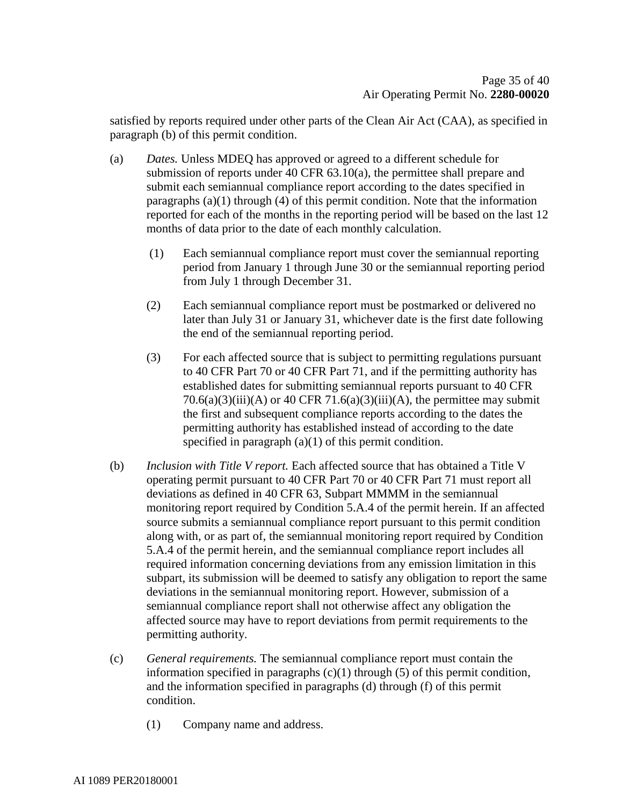satisfied by reports required under other parts of the Clean Air Act (CAA), as specified in paragraph (b) of this permit condition.

- (a) *Dates.* Unless MDEQ has approved or agreed to a different schedule for submission of reports under 40 CFR 63.10(a), the permittee shall prepare and submit each semiannual compliance report according to the dates specified in paragraphs  $(a)(1)$  through  $(4)$  of this permit condition. Note that the information reported for each of the months in the reporting period will be based on the last 12 months of data prior to the date of each monthly calculation.
	- (1) Each semiannual compliance report must cover the semiannual reporting period from January 1 through June 30 or the semiannual reporting period from July 1 through December 31.
	- (2) Each semiannual compliance report must be postmarked or delivered no later than July 31 or January 31, whichever date is the first date following the end of the semiannual reporting period.
	- (3) For each affected source that is subject to permitting regulations pursuant to 40 CFR Part 70 or 40 CFR Part 71, and if the permitting authority has established dates for submitting semiannual reports pursuant to 40 CFR  $70.6(a)(3)(iii)$ (A) or 40 CFR  $71.6(a)(3)(iii)$ (A), the permittee may submit the first and subsequent compliance reports according to the dates the permitting authority has established instead of according to the date specified in paragraph (a)(1) of this permit condition.
- (b) *Inclusion with Title V report.* Each affected source that has obtained a Title V operating permit pursuant to 40 CFR Part 70 or 40 CFR Part 71 must report all deviations as defined in 40 CFR 63, Subpart MMMM in the semiannual monitoring report required by Condition 5.A.4 of the permit herein. If an affected source submits a semiannual compliance report pursuant to this permit condition along with, or as part of, the semiannual monitoring report required by Condition 5.A.4 of the permit herein, and the semiannual compliance report includes all required information concerning deviations from any emission limitation in this subpart, its submission will be deemed to satisfy any obligation to report the same deviations in the semiannual monitoring report. However, submission of a semiannual compliance report shall not otherwise affect any obligation the affected source may have to report deviations from permit requirements to the permitting authority.
- (c) *General requirements.* The semiannual compliance report must contain the information specified in paragraphs  $(c)(1)$  through (5) of this permit condition, and the information specified in paragraphs (d) through (f) of this permit condition.
	- (1) Company name and address.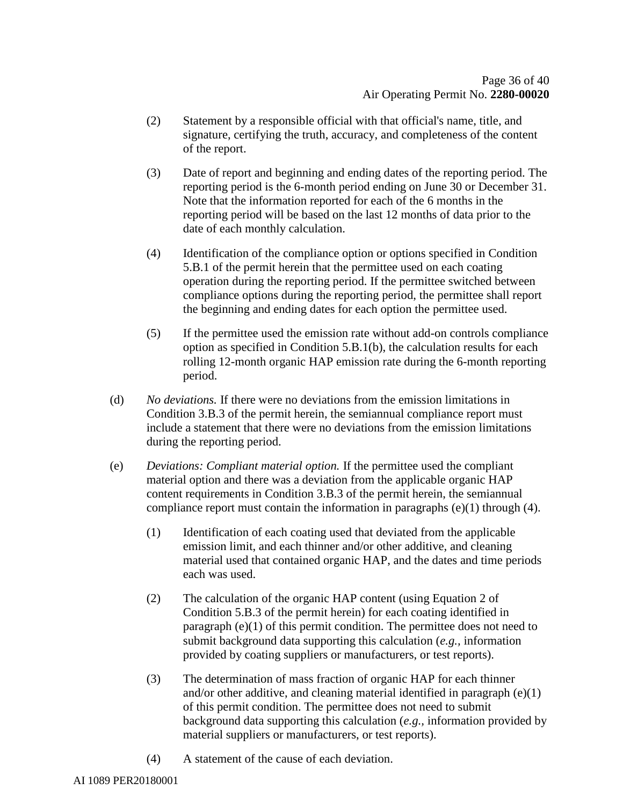- (2) Statement by a responsible official with that official's name, title, and signature, certifying the truth, accuracy, and completeness of the content of the report.
- (3) Date of report and beginning and ending dates of the reporting period. The reporting period is the 6-month period ending on June 30 or December 31. Note that the information reported for each of the 6 months in the reporting period will be based on the last 12 months of data prior to the date of each monthly calculation.
- (4) Identification of the compliance option or options specified in Condition 5.B.1 of the permit herein that the permittee used on each coating operation during the reporting period. If the permittee switched between compliance options during the reporting period, the permittee shall report the beginning and ending dates for each option the permittee used.
- (5) If the permittee used the emission rate without add-on controls compliance option as specified in Condition 5.B.1(b), the calculation results for each rolling 12-month organic HAP emission rate during the 6-month reporting period.
- (d) *No deviations.* If there were no deviations from the emission limitations in Condition 3.B.3 of the permit herein, the semiannual compliance report must include a statement that there were no deviations from the emission limitations during the reporting period.
- (e) *Deviations: Compliant material option.* If the permittee used the compliant material option and there was a deviation from the applicable organic HAP content requirements in Condition 3.B.3 of the permit herein, the semiannual compliance report must contain the information in paragraphs (e)(1) through (4).
	- (1) Identification of each coating used that deviated from the applicable emission limit, and each thinner and/or other additive, and cleaning material used that contained organic HAP, and the dates and time periods each was used.
	- (2) The calculation of the organic HAP content (using Equation 2 of Condition 5.B.3 of the permit herein) for each coating identified in paragraph (e)(1) of this permit condition. The permittee does not need to submit background data supporting this calculation (*e.g.,* information provided by coating suppliers or manufacturers, or test reports).
	- (3) The determination of mass fraction of organic HAP for each thinner and/or other additive, and cleaning material identified in paragraph (e)(1) of this permit condition. The permittee does not need to submit background data supporting this calculation (*e.g.,* information provided by material suppliers or manufacturers, or test reports).
	- (4) A statement of the cause of each deviation.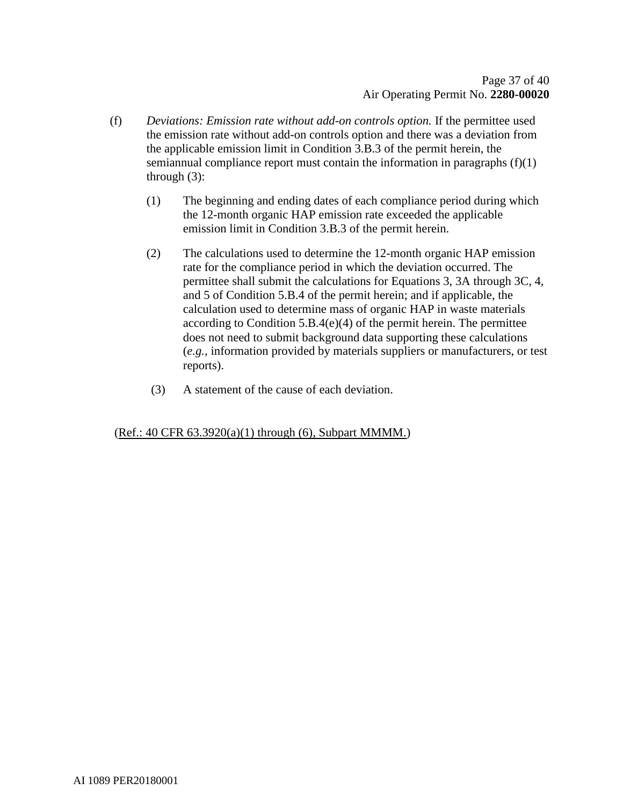- (f) *Deviations: Emission rate without add-on controls option.* If the permittee used the emission rate without add-on controls option and there was a deviation from the applicable emission limit in Condition 3.B.3 of the permit herein, the semiannual compliance report must contain the information in paragraphs  $(f)(1)$ through (3):
	- (1) The beginning and ending dates of each compliance period during which the 12-month organic HAP emission rate exceeded the applicable emission limit in Condition 3.B.3 of the permit herein.
	- (2) The calculations used to determine the 12-month organic HAP emission rate for the compliance period in which the deviation occurred. The permittee shall submit the calculations for Equations 3, 3A through 3C, 4, and 5 of Condition 5.B.4 of the permit herein; and if applicable, the calculation used to determine mass of organic HAP in waste materials according to Condition 5.B.4(e)(4) of the permit herein. The permittee does not need to submit background data supporting these calculations (*e.g.,* information provided by materials suppliers or manufacturers, or test reports).
	- (3) A statement of the cause of each deviation.

#### (Ref.: 40 CFR 63.3920(a)(1) through (6), Subpart MMMM.)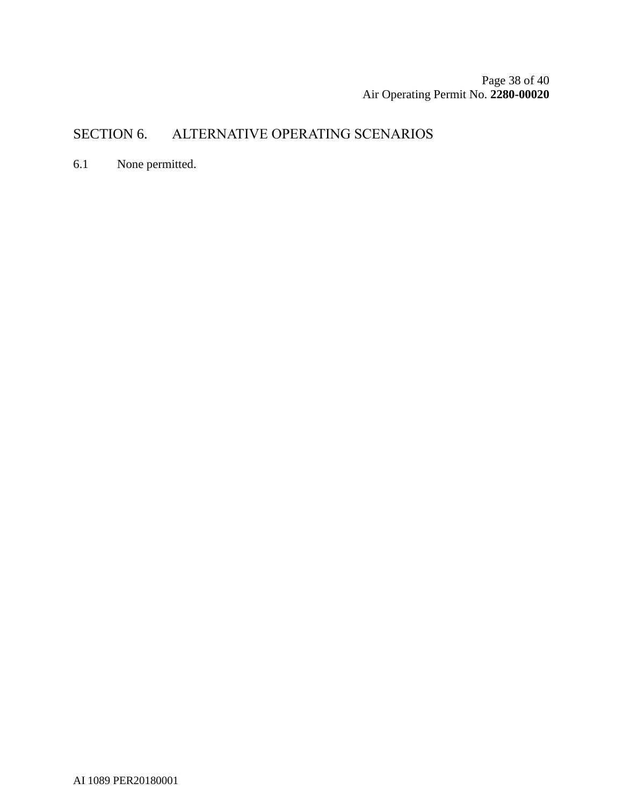Page 38 of [40](#page-39-0) Air Operating Permit No. **2280-00020**

# SECTION 6. ALTERNATIVE OPERATING SCENARIOS

6.1 None permitted.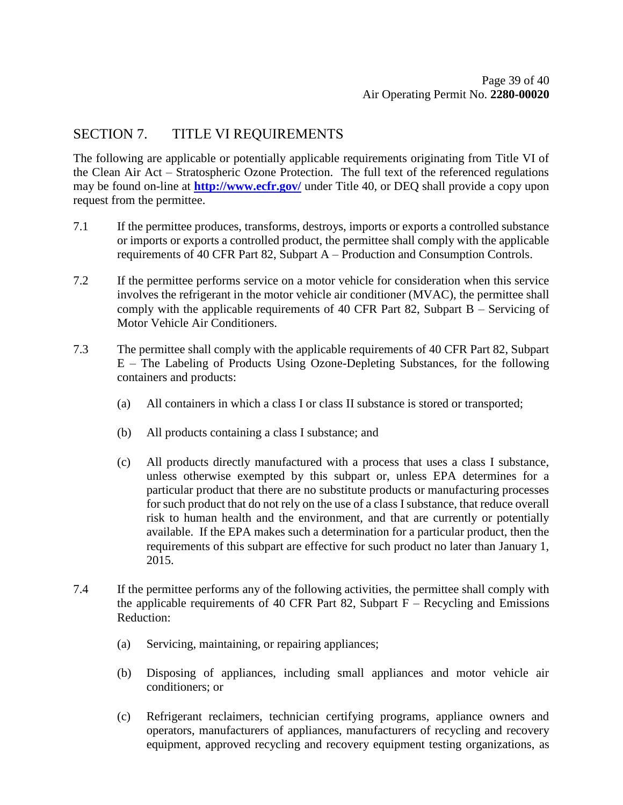### SECTION 7. TITLE VI REQUIREMENTS

The following are applicable or potentially applicable requirements originating from Title VI of the Clean Air Act – Stratospheric Ozone Protection. The full text of the referenced regulations may be found on-line at **<http://www.ecfr.gov/>** under Title 40, or DEQ shall provide a copy upon request from the permittee.

- 7.1 If the permittee produces, transforms, destroys, imports or exports a controlled substance or imports or exports a controlled product, the permittee shall comply with the applicable requirements of 40 CFR Part 82, Subpart A – Production and Consumption Controls.
- 7.2 If the permittee performs service on a motor vehicle for consideration when this service involves the refrigerant in the motor vehicle air conditioner (MVAC), the permittee shall comply with the applicable requirements of 40 CFR Part 82, Subpart B – Servicing of Motor Vehicle Air Conditioners.
- 7.3 The permittee shall comply with the applicable requirements of 40 CFR Part 82, Subpart E – The Labeling of Products Using Ozone-Depleting Substances, for the following containers and products:
	- (a) All containers in which a class I or class II substance is stored or transported;
	- (b) All products containing a class I substance; and
	- (c) All products directly manufactured with a process that uses a class I substance, unless otherwise exempted by this subpart or, unless EPA determines for a particular product that there are no substitute products or manufacturing processes for such product that do not rely on the use of a class I substance, that reduce overall risk to human health and the environment, and that are currently or potentially available. If the EPA makes such a determination for a particular product, then the requirements of this subpart are effective for such product no later than January 1, 2015.
- 7.4 If the permittee performs any of the following activities, the permittee shall comply with the applicable requirements of 40 CFR Part 82, Subpart  $F -$  Recycling and Emissions Reduction:
	- (a) Servicing, maintaining, or repairing appliances;
	- (b) Disposing of appliances, including small appliances and motor vehicle air conditioners; or
	- (c) Refrigerant reclaimers, technician certifying programs, appliance owners and operators, manufacturers of appliances, manufacturers of recycling and recovery equipment, approved recycling and recovery equipment testing organizations, as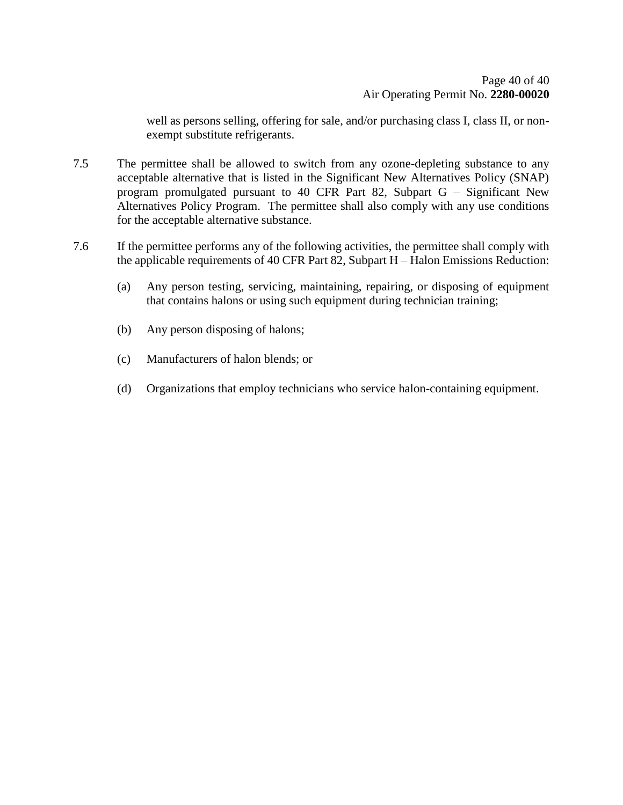well as persons selling, offering for sale, and/or purchasing class I, class II, or nonexempt substitute refrigerants.

- 7.5 The permittee shall be allowed to switch from any ozone-depleting substance to any acceptable alternative that is listed in the Significant New Alternatives Policy (SNAP) program promulgated pursuant to 40 CFR Part 82, Subpart G – Significant New Alternatives Policy Program. The permittee shall also comply with any use conditions for the acceptable alternative substance.
- <span id="page-39-0"></span>7.6 If the permittee performs any of the following activities, the permittee shall comply with the applicable requirements of 40 CFR Part 82, Subpart H – Halon Emissions Reduction:
	- (a) Any person testing, servicing, maintaining, repairing, or disposing of equipment that contains halons or using such equipment during technician training;
	- (b) Any person disposing of halons;
	- (c) Manufacturers of halon blends; or
	- (d) Organizations that employ technicians who service halon-containing equipment.